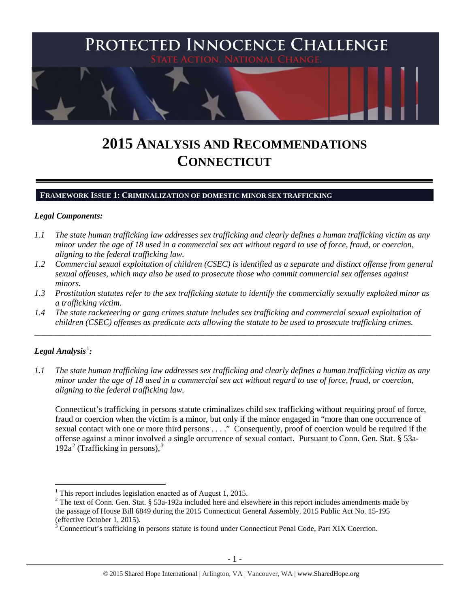

# **2015 ANALYSIS AND RECOMMENDATIONS CONNECTICUT**

#### **FRAMEWORK ISSUE 1: CRIMINALIZATION OF DOMESTIC MINOR SEX TRAFFICKING**

#### *Legal Components:*

- *1.1 The state human trafficking law addresses sex trafficking and clearly defines a human trafficking victim as any minor under the age of 18 used in a commercial sex act without regard to use of force, fraud, or coercion, aligning to the federal trafficking law.*
- *1.2 Commercial sexual exploitation of children (CSEC) is identified as a separate and distinct offense from general sexual offenses, which may also be used to prosecute those who commit commercial sex offenses against minors.*
- *1.3 Prostitution statutes refer to the sex trafficking statute to identify the commercially sexually exploited minor as a trafficking victim.*

\_\_\_\_\_\_\_\_\_\_\_\_\_\_\_\_\_\_\_\_\_\_\_\_\_\_\_\_\_\_\_\_\_\_\_\_\_\_\_\_\_\_\_\_\_\_\_\_\_\_\_\_\_\_\_\_\_\_\_\_\_\_\_\_\_\_\_\_\_\_\_\_\_\_\_\_\_\_\_\_\_\_\_\_\_\_\_\_\_\_\_\_\_\_

*1.4 The state racketeering or gang crimes statute includes sex trafficking and commercial sexual exploitation of children (CSEC) offenses as predicate acts allowing the statute to be used to prosecute trafficking crimes.* 

# ${\bm L}$ egal Analysis $^1$ :

*1.1 The state human trafficking law addresses sex trafficking and clearly defines a human trafficking victim as any minor under the age of 18 used in a commercial sex act without regard to use of force, fraud, or coercion, aligning to the federal trafficking law.*

Connecticut's trafficking in persons statute criminalizes child sex trafficking without requiring proof of force, fraud or coercion when the victim is a minor, but only if the minor engaged in "more than one occurrence of sexual contact with one or more third persons . . . ." Consequently, proof of coercion would be required if the offense against a minor involved a single occurrence of sexual contact. Pursuant to Conn. Gen. Stat. § 53a- $192a<sup>2</sup>$  (Trafficking in persons),<sup>3</sup>

<sup>&</sup>lt;sup>1</sup> This report includes legislation enacted as of August 1, 2015.<br><sup>2</sup> The text of Conn. Gen. Stat. § 53a-192a included here and elsewhere in this report includes amendments made by the passage of House Bill 6849 during the 2015 Connecticut General Assembly. 2015 Public Act No. 15-195 (effective October 1, 2015).

<sup>&</sup>lt;sup>3</sup> Connecticut's trafficking in persons statute is found under Connecticut Penal Code, Part XIX Coercion.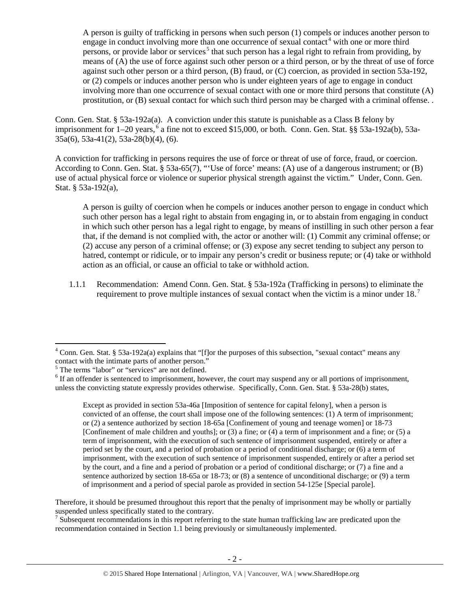A person is guilty of trafficking in persons when such person (1) compels or induces another person to engage in conduct involving more than one occurrence of sexual contact<sup>4</sup> with one or more third persons, or provide labor or services<sup>5</sup> that such person has a legal right to refrain from providing, by means of (A) the use of force against such other person or a third person, or by the threat of use of force against such other person or a third person, (B) fraud, or (C) coercion, as provided in section 53a-192, or (2) compels or induces another person who is under eighteen years of age to engage in conduct involving more than one occurrence of sexual contact with one or more third persons that constitute (A) prostitution, or (B) sexual contact for which such third person may be charged with a criminal offense. .

Conn. Gen. Stat. § 53a-192a(a). A conviction under this statute is punishable as a Class B felony by imprisonment for 1–20 years, <sup>6</sup> a fine not to exceed \$15,000, or both. Conn. Gen. Stat. §§ 53a-192a(b), 53a-35a(6), 53a-41(2), 53a-28(b)(4), (6).

A conviction for trafficking in persons requires the use of force or threat of use of force, fraud, or coercion. According to Conn. Gen. Stat. § 53a-65(7), "'Use of force' means: (A) use of a dangerous instrument; or (B) use of actual physical force or violence or superior physical strength against the victim." Under, Conn. Gen. Stat. § 53a-192(a),

A person is guilty of coercion when he compels or induces another person to engage in conduct which such other person has a legal right to abstain from engaging in, or to abstain from engaging in conduct in which such other person has a legal right to engage, by means of instilling in such other person a fear that, if the demand is not complied with, the actor or another will: (1) Commit any criminal offense; or (2) accuse any person of a criminal offense; or (3) expose any secret tending to subject any person to hatred, contempt or ridicule, or to impair any person's credit or business repute; or (4) take or withhold action as an official, or cause an official to take or withhold action.

1.1.1 Recommendation: Amend Conn. Gen. Stat. § 53a-192a (Trafficking in persons) to eliminate the requirement to prove multiple instances of sexual contact when the victim is a minor under  $18$ .<sup>7</sup>

Except as provided in section 53a-46a [Imposition of sentence for capital felony], when a person is convicted of an offense, the court shall impose one of the following sentences: (1) A term of imprisonment; or (2) a sentence authorized by section 18-65a [Confinement of young and teenage women] or 18-73 [Confinement of male children and youths]; or (3) a fine; or (4) a term of imprisonment and a fine; or (5) a term of imprisonment, with the execution of such sentence of imprisonment suspended, entirely or after a period set by the court, and a period of probation or a period of conditional discharge; or (6) a term of imprisonment, with the execution of such sentence of imprisonment suspended, entirely or after a period set by the court, and a fine and a period of probation or a period of conditional discharge; or (7) a fine and a sentence authorized by section 18-65a or 18-73; or (8) a sentence of unconditional discharge; or (9) a term of imprisonment and a period of special parole as provided in section 54-125e [Special parole].

Therefore, it should be presumed throughout this report that the penalty of imprisonment may be wholly or partially suspended unless specifically stated to the contrary.

<sup>7</sup> Subsequent recommendations in this report referring to the state human trafficking law are predicated upon the recommendation contained in Section 1.1 being previously or simultaneously implemented.

<sup>&</sup>lt;sup>4</sup> Conn. Gen. Stat. § 53a-192a(a) explains that "[f]or the purposes of this subsection, "sexual contact" means any contact with the intimate parts of another person."

<sup>&</sup>lt;sup>5</sup> The terms "labor" or "services" are not defined.

<sup>&</sup>lt;sup>6</sup> If an offender is sentenced to imprisonment, however, the court may suspend any or all portions of imprisonment, unless the convicting statute expressly provides otherwise. Specifically, Conn. Gen. Stat. § 53a-28(b) states,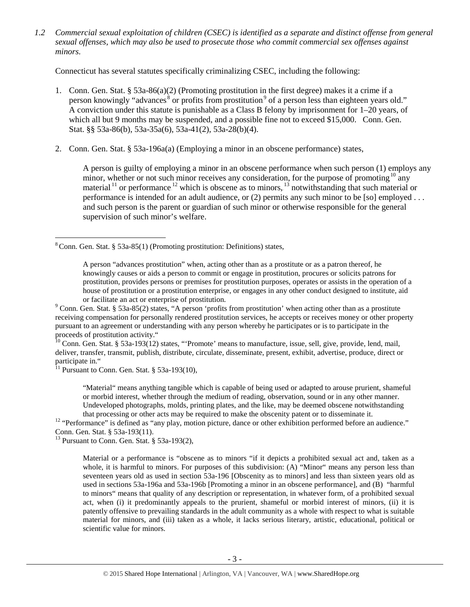*1.2 Commercial sexual exploitation of children (CSEC) is identified as a separate and distinct offense from general sexual offenses, which may also be used to prosecute those who commit commercial sex offenses against minors.*

Connecticut has several statutes specifically criminalizing CSEC, including the following:

- 1. Conn. Gen. Stat. § 53a-86(a)(2) (Promoting prostitution in the first degree) makes it a crime if a person knowingly "advances<sup>8</sup> or profits from prostitution<sup>9</sup> of a person less than eighteen years old." A conviction under this statute is punishable as a Class B felony by imprisonment for 1–20 years, of which all but 9 months may be suspended, and a possible fine not to exceed \$15,000. Conn. Gen. Stat. §§ 53a-86(b), 53a-35a(6), 53a-41(2), 53a-28(b)(4).
- 2. Conn. Gen. Stat. § 53a-196a(a) (Employing a minor in an obscene performance) states,

<span id="page-2-5"></span><span id="page-2-4"></span><span id="page-2-3"></span><span id="page-2-2"></span><span id="page-2-1"></span><span id="page-2-0"></span>A person is guilty of employing a minor in an obscene performance when such person (1) employs any minor, whether or not such minor receives any consideration, for the purpose of promoting<sup>10</sup> any material  $11$  or performance.<sup>12</sup> which is obscene as to minors,  $13$  notwithstanding that such material or performance is intended for an adult audience, or (2) permits any such minor to be [so] employed . . . and such person is the parent or guardian of such minor or otherwise responsible for the general supervision of such minor's welfare.

 $10$  Conn. Gen. Stat. § 53a-193(12) states, "'Promote' means to manufacture, issue, sell, give, provide, lend, mail, deliver, transfer, transmit, publish, distribute, circulate, disseminate, present, exhibit, advertise, produce, direct or participate in."

 $11$  Pursuant to Conn. Gen. Stat. § 53a-193(10),

"Material" means anything tangible which is capable of being used or adapted to arouse prurient, shameful or morbid interest, whether through the medium of reading, observation, sound or in any other manner. Undeveloped photographs, molds, printing plates, and the like, may be deemed obscene notwithstanding

that processing or other acts may be required to make the obscenity patent or to disseminate it.<br><sup>12</sup> "Performance" is defined as "any play, motion picture, dance or other exhibition performed before an audience."<br>Conn. Ge

 $13$  Pursuant to Conn. Gen. Stat. § 53a-193(2),

Material or a performance is "obscene as to minors "if it depicts a prohibited sexual act and, taken as a whole, it is harmful to minors. For purposes of this subdivision: (A) "Minor" means any person less than seventeen years old as used in section 53a-196 [Obscenity as to minors] and less than sixteen years old as used in sections 53a-196a and 53a-196b [Promoting a minor in an obscene performance], and (B) "harmful to minors" means that quality of any description or representation, in whatever form, of a prohibited sexual act, when (i) it predominantly appeals to the prurient, shameful or morbid interest of minors, (ii) it is patently offensive to prevailing standards in the adult community as a whole with respect to what is suitable material for minors, and (iii) taken as a whole, it lacks serious literary, artistic, educational, political or scientific value for minors.

 <sup>8</sup> Conn. Gen. Stat. § 53a-85(1) (Promoting prostitution: Definitions) states,

A person "advances prostitution" when, acting other than as a prostitute or as a patron thereof, he knowingly causes or aids a person to commit or engage in prostitution, procures or solicits patrons for prostitution, provides persons or premises for prostitution purposes, operates or assists in the operation of a house of prostitution or a prostitution enterprise, or engages in any other conduct designed to institute, aid

 $\degree$  Conn. Gen. Stat. § 53a-85(2) states, "A person 'profits from prostitution' when acting other than as a prostitute receiving compensation for personally rendered prostitution services, he accepts or receives money or other property pursuant to an agreement or understanding with any person whereby he participates or is to participate in the proceeds of prostitution activity."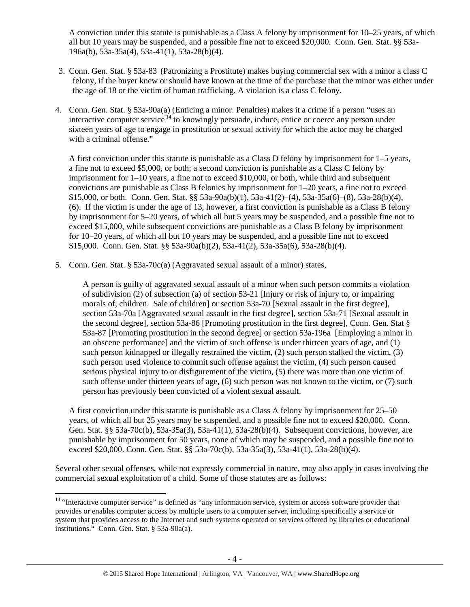A conviction under this statute is punishable as a Class A felony by imprisonment for 10–25 years, of which all but 10 years may be suspended, and a possible fine not to exceed \$20,000. Conn. Gen. Stat. §§ 53a-196a(b), 53a-35a(4), 53a-41(1), 53a-28(b)(4).

- 3. Conn. Gen. Stat. § 53a-83 (Patronizing a Prostitute) makes buying commercial sex with a minor a class C felony, if the buyer knew or should have known at the time of the purchase that the minor was either under the age of 18 or the victim of human trafficking. A violation is a class C felony.
- 4. Conn. Gen. Stat. § 53a-90a(a) (Enticing a minor. Penalties) makes it a crime if a person "uses an interactive computer service.<sup>14</sup> to knowingly persuade, induce, entice or coerce any person under sixteen years of age to engage in prostitution or sexual activity for which the actor may be charged with a criminal offense."

<span id="page-3-0"></span>A first conviction under this statute is punishable as a Class D felony by imprisonment for 1–5 years, a fine not to exceed \$5,000, or both; a second conviction is punishable as a Class C felony by imprisonment for  $1-10$  years, a fine not to exceed \$10,000, or both, while third and subsequent convictions are punishable as Class B felonies by imprisonment for 1–20 years, a fine not to exceed \$15,000, or both. Conn. Gen. Stat. §§ 53a-90a(b)(1), 53a-41(2)–(4), 53a-35a(6)–(8), 53a-28(b)(4), (6). If the victim is under the age of 13, however, a first conviction is punishable as a Class B felony by imprisonment for 5–20 years, of which all but 5 years may be suspended, and a possible fine not to exceed \$15,000, while subsequent convictions are punishable as a Class B felony by imprisonment for 10–20 years, of which all but 10 years may be suspended, and a possible fine not to exceed \$15,000. Conn. Gen. Stat. §§ 53a-90a(b)(2), 53a-41(2), 53a-35a(6), 53a-28(b)(4).

5. Conn. Gen. Stat. § 53a-70c(a) (Aggravated sexual assault of a minor) states,

A person is guilty of aggravated sexual assault of a minor when such person commits a violation of subdivision (2) of subsection (a) of section 53-21 [Injury or risk of injury to, or impairing morals of, children. Sale of children] or section 53a-70 [Sexual assault in the first degree], section 53a-70a [Aggravated sexual assault in the first degree], section 53a-71 [Sexual assault in the second degree], section 53a-86 [Promoting prostitution in the first degree], Conn. Gen. Stat § 53a-87 [Promoting prostitution in the second degree] or section 53a-196a [Employing a minor in an obscene performance] and the victim of such offense is under thirteen years of age, and (1) such person kidnapped or illegally restrained the victim, (2) such person stalked the victim, (3) such person used violence to commit such offense against the victim, (4) such person caused serious physical injury to or disfigurement of the victim, (5) there was more than one victim of such offense under thirteen years of age, (6) such person was not known to the victim, or (7) such person has previously been convicted of a violent sexual assault.

A first conviction under this statute is punishable as a Class A felony by imprisonment for 25–50 years, of which all but 25 years may be suspended, and a possible fine not to exceed \$20,000. Conn. Gen. Stat. §§ 53a-70c(b), 53a-35a(3), 53a-41(1), 53a-28(b)(4). Subsequent convictions, however, are punishable by imprisonment for 50 years, none of which may be suspended, and a possible fine not to exceed \$20,000. Conn. Gen. Stat. §§ 53a-70c(b), 53a-35a(3), 53a-41(1), 53a-28(b)(4).

Several other sexual offenses, while not expressly commercial in nature, may also apply in cases involving the commercial sexual exploitation of a child. Some of those statutes are as follows:

<sup>&</sup>lt;sup>14</sup> "Interactive computer service" is defined as "any information service, system or access software provider that provides or enables computer access by multiple users to a computer server, including specifically a service or system that provides access to the Internet and such systems operated or services offered by libraries or educational institutions." Conn. Gen. Stat. § 53a-90a(a).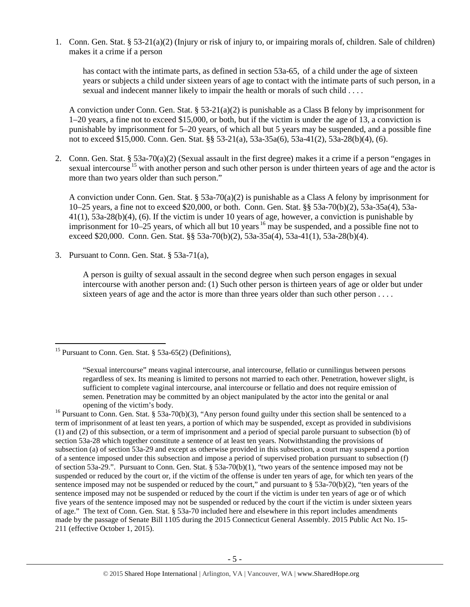1. Conn. Gen. Stat. § 53-21(a)(2) (Injury or risk of injury to, or impairing morals of, children. Sale of children) makes it a crime if a person

has contact with the intimate parts, as defined in section 53a-65, of a child under the age of sixteen years or subjects a child under sixteen years of age to contact with the intimate parts of such person, in a sexual and indecent manner likely to impair the health or morals of such child . . . .

A conviction under Conn. Gen. Stat. § 53-21(a)(2) is punishable as a Class B felony by imprisonment for 1–20 years, a fine not to exceed \$15,000, or both, but if the victim is under the age of 13, a conviction is punishable by imprisonment for 5–20 years, of which all but 5 years may be suspended, and a possible fine not to exceed \$15,000. Conn. Gen. Stat. §§ 53-21(a), 53a-35a(6), 53a-41(2), 53a-28(b)(4), (6).

2. Conn. Gen. Stat. § 53a-70(a)(2) (Sexual assault in the first degree) makes it a crime if a person "engages in sexual intercourse.<sup>15</sup> with another person and such other person is under thirteen years of age and the actor is more than two years older than such person."

A conviction under Conn. Gen. Stat. § 53a-70(a)(2) is punishable as a Class A felony by imprisonment for 10–25 years, a fine not to exceed \$20,000, or both. Conn. Gen. Stat. §§ 53a-70(b)(2), 53a-35a(4), 53a- $41(1)$ ,  $53a-28(b)(4)$ , (6). If the victim is under 10 years of age, however, a conviction is punishable by imprisonment for  $10-25$  years, of which all but  $10$  years.<sup>16</sup> may be suspended, and a possible fine not to exceed \$20,000. Conn. Gen. Stat. §§ 53a-70(b)(2), 53a-35a(4), 53a-41(1), 53a-28(b)(4).

3. Pursuant to Conn. Gen. Stat. § 53a-71(a),

<span id="page-4-0"></span>A person is guilty of sexual assault in the second degree when such person engages in sexual intercourse with another person and: (1) Such other person is thirteen years of age or older but under sixteen years of age and the actor is more than three years older than such other person . . . .

<sup>&</sup>lt;sup>15</sup> Pursuant to Conn. Gen. Stat.  $\frac{15}{2}$  53a-65(2) (Definitions).

<sup>&</sup>quot;Sexual intercourse" means vaginal intercourse, anal intercourse, fellatio or cunnilingus between persons regardless of sex. Its meaning is limited to persons not married to each other. Penetration, however slight, is sufficient to complete vaginal intercourse, anal intercourse or fellatio and does not require emission of semen. Penetration may be committed by an object manipulated by the actor into the genital or anal opening of the victim's body.

<sup>&</sup>lt;sup>16</sup> Pursuant to Conn. Gen. Stat. § 53a-70(b)(3), "Any person found guilty under this section shall be sentenced to a term of imprisonment of at least ten years, a portion of which may be suspended, except as provided in subdivisions (1) and (2) of this subsection, or a term of imprisonment and a period of special parole pursuant to subsection (b) of section 53a-28 which together constitute a sentence of at least ten years. Notwithstanding the provisions of subsection (a) of section 53a-29 and except as otherwise provided in this subsection, a court may suspend a portion of a sentence imposed under this subsection and impose a period of supervised probation pursuant to subsection (f) of section 53a-29.". Pursuant to Conn. Gen. Stat. § 53a-70(b)(1), "two years of the sentence imposed may not be suspended or reduced by the court or, if the victim of the offense is under ten years of age, for which ten years of the sentence imposed may not be suspended or reduced by the court," and pursuant to § 53a-70(b)(2), "ten years of the sentence imposed may not be suspended or reduced by the court if the victim is under ten years of age or of which five years of the sentence imposed may not be suspended or reduced by the court if the victim is under sixteen years of age." The text of Conn. Gen. Stat. § 53a-70 included here and elsewhere in this report includes amendments made by the passage of Senate Bill 1105 during the 2015 Connecticut General Assembly. 2015 Public Act No. 15- 211 (effective October 1, 2015).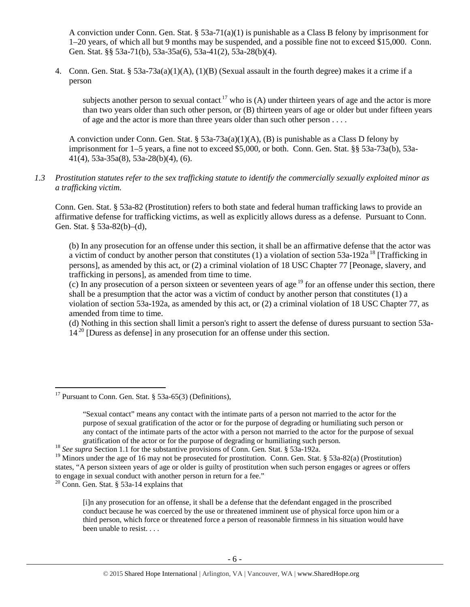A conviction under Conn. Gen. Stat.  $\S 53a-71(a)(1)$  is punishable as a Class B felony by imprisonment for 1–20 years, of which all but 9 months may be suspended, and a possible fine not to exceed \$15,000. Conn. Gen. Stat. §§ 53a-71(b), 53a-35a(6), 53a-41(2), 53a-28(b)(4).

4. Conn. Gen. Stat. § 53a-73a(a)(1)(A), (1)(B) (Sexual assault in the fourth degree) makes it a crime if a person

subjects another person to sexual contact.<sup>17</sup> who is (A) under thirteen years of age and the actor is more than two years older than such other person, or (B) thirteen years of age or older but under fifteen years of age and the actor is more than three years older than such other person . . . .

A conviction under Conn. Gen. Stat. § 53a-73a(a)(1)(A), (B) is punishable as a Class D felony by imprisonment for 1–5 years, a fine not to exceed \$5,000, or both. Conn. Gen. Stat. §§ 53a-73a(b), 53a-41(4), 53a-35a(8), 53a-28(b)(4), (6).

*1.3 Prostitution statutes refer to the sex trafficking statute to identify the commercially sexually exploited minor as a trafficking victim.* 

Conn. Gen. Stat. § 53a-82 (Prostitution) refers to both state and federal human trafficking laws to provide an affirmative defense for trafficking victims, as well as explicitly allows duress as a defense. Pursuant to Conn. Gen. Stat. § 53a-82(b)–(d),

(b) In any prosecution for an offense under this section, it shall be an affirmative defense that the actor was a victim of conduct by another person that constitutes (1) a violation of section  $53a-192a^{18}$  [Trafficking in persons], as amended by this act, or (2) a criminal violation of 18 USC Chapter 77 [Peonage, slavery, and trafficking in persons], as amended from time to time.

(c) In any prosecution of a person sixteen or seventeen years of age.<sup>19</sup> for an offense under this section, there shall be a presumption that the actor was a victim of conduct by another person that constitutes (1) a violation of section 53a-192a, as amended by this act, or (2) a criminal violation of 18 USC Chapter 77, as amended from time to time.

(d) Nothing in this section shall limit a person's right to assert the defense of duress pursuant to section 53a- $14<sup>20</sup>$  [Duress as defense] in any prosecution for an offense under this section.

<sup>&</sup>lt;sup>17</sup> Pursuant to Conn. Gen. Stat. § 53a-65(3) (Definitions),

<sup>&</sup>quot;Sexual contact" means any contact with the intimate parts of a person not married to the actor for the purpose of sexual gratification of the actor or for the purpose of degrading or humiliating such person or any contact of the intimate parts of the actor with a person not married to the actor for the purpose of sexual gratification of the actor or for the purpose of degrading or humiliating such person.

<sup>&</sup>lt;sup>18</sup> See supra Section 1.1 for the substantive provisions of Conn. Gen. Stat. § 53a-192a.

<sup>&</sup>lt;sup>19</sup> Minors under the age of 16 may not be prosecuted for prostitution. Conn. Gen. Stat. § 53a-82(a) (Prostitution) states, "A person sixteen years of age or older is guilty of prostitution when such person engages or agrees or offers to engage in sexual conduct with another person in return for a fee."

<sup>&</sup>lt;sup>20</sup> Conn. Gen. Stat. § 53a-14 explains that

<sup>[</sup>i]n any prosecution for an offense, it shall be a defense that the defendant engaged in the proscribed conduct because he was coerced by the use or threatened imminent use of physical force upon him or a third person, which force or threatened force a person of reasonable firmness in his situation would have been unable to resist. . . .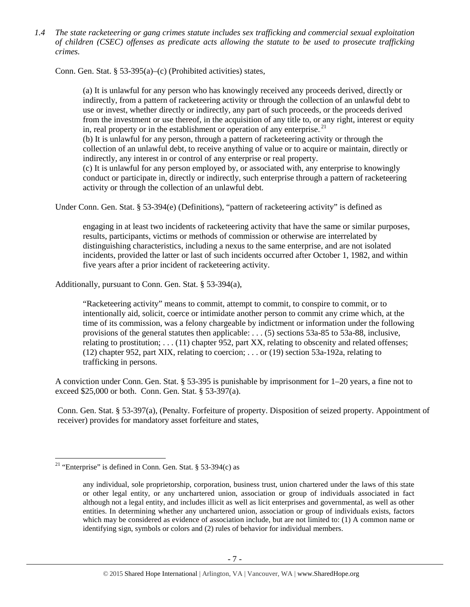*1.4 The state racketeering or gang crimes statute includes sex trafficking and commercial sexual exploitation of children (CSEC) offenses as predicate acts allowing the statute to be used to prosecute trafficking crimes.* 

Conn. Gen. Stat. § 53-395(a)–(c) (Prohibited activities) states,

(a) It is unlawful for any person who has knowingly received any proceeds derived, directly or indirectly, from a pattern of racketeering activity or through the collection of an unlawful debt to use or invest, whether directly or indirectly, any part of such proceeds, or the proceeds derived from the investment or use thereof, in the acquisition of any title to, or any right, interest or equity in, real property or in the establishment or operation of any enterprise.<sup>21</sup> (b) It is unlawful for any person, through a pattern of racketeering activity or through the collection of an unlawful debt, to receive anything of value or to acquire or maintain, directly or indirectly, any interest in or control of any enterprise or real property. (c) It is unlawful for any person employed by, or associated with, any enterprise to knowingly

conduct or participate in, directly or indirectly, such enterprise through a pattern of racketeering activity or through the collection of an unlawful debt.

Under Conn. Gen. Stat. § 53-394(e) (Definitions), "pattern of racketeering activity" is defined as

engaging in at least two incidents of racketeering activity that have the same or similar purposes, results, participants, victims or methods of commission or otherwise are interrelated by distinguishing characteristics, including a nexus to the same enterprise, and are not isolated incidents, provided the latter or last of such incidents occurred after October 1, 1982, and within five years after a prior incident of racketeering activity.

Additionally, pursuant to Conn. Gen. Stat. § 53-394(a),

"Racketeering activity" means to commit, attempt to commit, to conspire to commit, or to intentionally aid, solicit, coerce or intimidate another person to commit any crime which, at the time of its commission, was a felony chargeable by indictment or information under the following provisions of the general statutes then applicable: . . . (5) sections 53a-85 to 53a-88, inclusive, relating to prostitution; . . . (11) chapter 952, part XX, relating to obscenity and related offenses; (12) chapter 952, part XIX, relating to coercion; . . . or (19) section 53a-192a, relating to trafficking in persons.

A conviction under Conn. Gen. Stat. § 53-395 is punishable by imprisonment for 1–20 years, a fine not to exceed \$25,000 or both. Conn. Gen. Stat. § 53-397(a).

Conn. Gen. Stat. § 53-397(a), (Penalty. Forfeiture of property. Disposition of seized property. Appointment of receiver) provides for mandatory asset forfeiture and states,

<sup>&</sup>lt;sup>21</sup> "Enterprise" is defined in Conn. Gen. Stat. § 53-394(c) as

any individual, sole proprietorship, corporation, business trust, union chartered under the laws of this state or other legal entity, or any unchartered union, association or group of individuals associated in fact although not a legal entity, and includes illicit as well as licit enterprises and governmental, as well as other entities. In determining whether any unchartered union, association or group of individuals exists, factors which may be considered as evidence of association include, but are not limited to: (1) A common name or identifying sign, symbols or colors and (2) rules of behavior for individual members.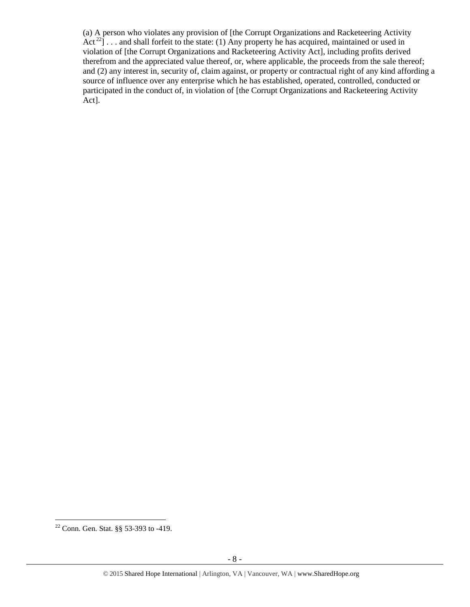(a) A person who violates any provision of [the Corrupt Organizations and Racketeering Activity Act<sup>22</sup> $\hat{j}$ ... and shall forfeit to the state: (1) Any property he has acquired, maintained or used in violation of [the Corrupt Organizations and Racketeering Activity Act], including profits derived therefrom and the appreciated value thereof, or, where applicable, the proceeds from the sale thereof; and (2) any interest in, security of, claim against, or property or contractual right of any kind affording a source of influence over any enterprise which he has established, operated, controlled, conducted or participated in the conduct of, in violation of [the Corrupt Organizations and Racketeering Activity Act].

 <sup>22</sup> Conn. Gen. Stat. §§ 53-393 to -419.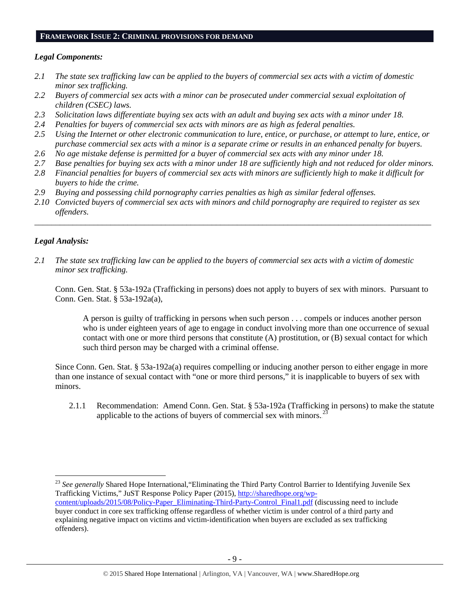#### **FRAMEWORK ISSUE 2: CRIMINAL PROVISIONS FOR DEMAND**

#### *Legal Components:*

- *2.1 The state sex trafficking law can be applied to the buyers of commercial sex acts with a victim of domestic minor sex trafficking.*
- *2.2 Buyers of commercial sex acts with a minor can be prosecuted under commercial sexual exploitation of children (CSEC) laws.*
- *2.3 Solicitation laws differentiate buying sex acts with an adult and buying sex acts with a minor under 18.*
- *2.4 Penalties for buyers of commercial sex acts with minors are as high as federal penalties.*
- *2.5 Using the Internet or other electronic communication to lure, entice, or purchase, or attempt to lure, entice, or purchase commercial sex acts with a minor is a separate crime or results in an enhanced penalty for buyers.*
- *2.6 No age mistake defense is permitted for a buyer of commercial sex acts with any minor under 18.*
- *2.7 Base penalties for buying sex acts with a minor under 18 are sufficiently high and not reduced for older minors.*
- *2.8 Financial penalties for buyers of commercial sex acts with minors are sufficiently high to make it difficult for buyers to hide the crime.*
- *2.9 Buying and possessing child pornography carries penalties as high as similar federal offenses.*
- *2.10 Convicted buyers of commercial sex acts with minors and child pornography are required to register as sex offenders.*

\_\_\_\_\_\_\_\_\_\_\_\_\_\_\_\_\_\_\_\_\_\_\_\_\_\_\_\_\_\_\_\_\_\_\_\_\_\_\_\_\_\_\_\_\_\_\_\_\_\_\_\_\_\_\_\_\_\_\_\_\_\_\_\_\_\_\_\_\_\_\_\_\_\_\_\_\_\_\_\_\_\_\_\_\_\_\_\_\_\_\_\_\_\_

# *Legal Analysis:*

*2.1 The state sex trafficking law can be applied to the buyers of commercial sex acts with a victim of domestic minor sex trafficking.*

Conn. Gen. Stat. § 53a-192a (Trafficking in persons) does not apply to buyers of sex with minors. Pursuant to Conn. Gen. Stat. § 53a-192a(a),

A person is guilty of trafficking in persons when such person . . . compels or induces another person who is under eighteen years of age to engage in conduct involving more than one occurrence of sexual contact with one or more third persons that constitute (A) prostitution, or (B) sexual contact for which such third person may be charged with a criminal offense.

Since Conn. Gen. Stat. § 53a-192a(a) requires compelling or inducing another person to either engage in more than one instance of sexual contact with "one or more third persons," it is inapplicable to buyers of sex with minors.

2.1.1 Recommendation: Amend Conn. Gen. Stat. § 53a-192a (Trafficking in persons) to make the statute applicable to the actions of buyers of commercial sex with minors.<sup>23</sup>

<sup>&</sup>lt;sup>23</sup> See generally Shared Hope International, "Eliminating the Third Party Control Barrier to Identifying Juvenile Sex Trafficking Victims," JuST Response Policy Paper (2015), [http://sharedhope.org/wp](http://sharedhope.org/wp-content/uploads/2015/08/Policy-Paper_Eliminating-Third-Party-Control_Final1.pdf)[content/uploads/2015/08/Policy-Paper\\_Eliminating-Third-Party-Control\\_Final1.pdf](http://sharedhope.org/wp-content/uploads/2015/08/Policy-Paper_Eliminating-Third-Party-Control_Final1.pdf) (discussing need to include buyer conduct in core sex trafficking offense regardless of whether victim is under control of a third party and explaining negative impact on victims and victim-identification when buyers are excluded as sex trafficking offenders).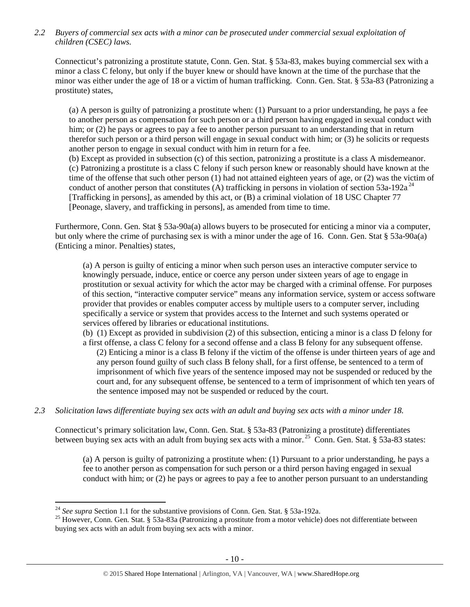*2.2 Buyers of commercial sex acts with a minor can be prosecuted under commercial sexual exploitation of children (CSEC) laws.*

Connecticut's patronizing a prostitute statute, Conn. Gen. Stat. § 53a-83, makes buying commercial sex with a minor a class C felony, but only if the buyer knew or should have known at the time of the purchase that the minor was either under the age of 18 or a victim of human trafficking. Conn. Gen. Stat. § 53a-83 (Patronizing a prostitute) states,

(a) A person is guilty of patronizing a prostitute when: (1) Pursuant to a prior understanding, he pays a fee to another person as compensation for such person or a third person having engaged in sexual conduct with him; or (2) he pays or agrees to pay a fee to another person pursuant to an understanding that in return therefor such person or a third person will engage in sexual conduct with him; or (3) he solicits or requests another person to engage in sexual conduct with him in return for a fee. (b) Except as provided in subsection (c) of this section, patronizing a prostitute is a class A misdemeanor. (c) Patronizing a prostitute is a class C felony if such person knew or reasonably should have known at the time of the offense that such other person (1) had not attained eighteen years of age, or (2) was the victim of conduct of another person that constitutes (A) trafficking in persons in violation of section  $53a-192a^{24}$ [Trafficking in persons], as amended by this act, or (B) a criminal violation of 18 USC Chapter 77 [Peonage, slavery, and trafficking in persons], as amended from time to time.

Furthermore, Conn. Gen. Stat § 53a-90a(a) allows buyers to be prosecuted for enticing a minor via a computer, but only where the crime of purchasing sex is with a minor under the age of 16. Conn. Gen. Stat § 53a-90a(a) (Enticing a minor. Penalties) states,

(a) A person is guilty of enticing a minor when such person uses an interactive computer service to knowingly persuade, induce, entice or coerce any person under sixteen years of age to engage in prostitution or sexual activity for which the actor may be charged with a criminal offense. For purposes of this section, "interactive computer service" means any information service, system or access software provider that provides or enables computer access by multiple users to a computer server, including specifically a service or system that provides access to the Internet and such systems operated or services offered by libraries or educational institutions.

(b) (1) Except as provided in subdivision (2) of this subsection, enticing a minor is a class D felony for a first offense, a class C felony for a second offense and a class B felony for any subsequent offense.

(2) Enticing a minor is a class B felony if the victim of the offense is under thirteen years of age and any person found guilty of such class B felony shall, for a first offense, be sentenced to a term of imprisonment of which five years of the sentence imposed may not be suspended or reduced by the court and, for any subsequent offense, be sentenced to a term of imprisonment of which ten years of the sentence imposed may not be suspended or reduced by the court.

*2.3 Solicitation laws differentiate buying sex acts with an adult and buying sex acts with a minor under 18.*

Connecticut's primary solicitation law, Conn. Gen. Stat. § 53a-83 (Patronizing a prostitute) differentiates between buying sex acts with an adult from buying sex acts with a minor.<sup>25</sup> Conn. Gen. Stat. § 53a-83 states:

(a) A person is guilty of patronizing a prostitute when: (1) Pursuant to a prior understanding, he pays a fee to another person as compensation for such person or a third person having engaged in sexual conduct with him; or (2) he pays or agrees to pay a fee to another person pursuant to an understanding

<sup>&</sup>lt;sup>24</sup> *See supra Section 1.1* for the substantive provisions of Conn. Gen. Stat. § 53a-192a.<br><sup>25</sup> However, Conn. Gen. Stat. § 53a-83a (Patronizing a prostitute from a motor vehicle) does not differentiate between buying sex acts with an adult from buying sex acts with a minor.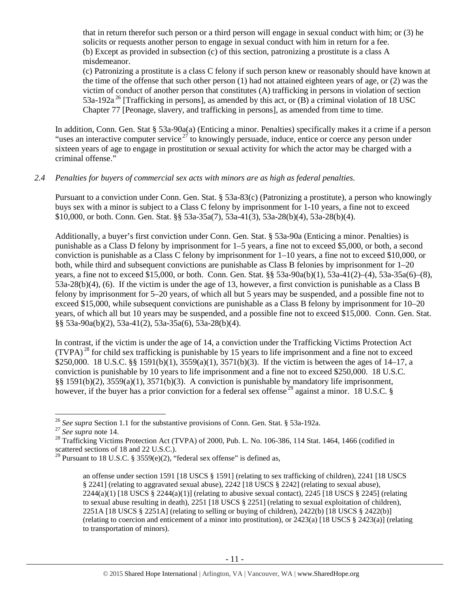that in return therefor such person or a third person will engage in sexual conduct with him; or (3) he solicits or requests another person to engage in sexual conduct with him in return for a fee. (b) Except as provided in subsection (c) of this section, patronizing a prostitute is a class A misdemeanor.

(c) Patronizing a prostitute is a class C felony if such person knew or reasonably should have known at the time of the offense that such other person (1) had not attained eighteen years of age, or (2) was the victim of conduct of another person that constitutes (A) trafficking in persons in violation of section 53a-192a<sup>26</sup> [Trafficking in persons], as amended by this act, or  $(B)$  a criminal violation of 18 USC Chapter 77 [Peonage, slavery, and trafficking in persons], as amended from time to time.

In addition, Conn. Gen. Stat § 53a-90a(a) (Enticing a minor. Penalties) specifically makes it a crime if a person "uses an interactive computer service.<sup>27</sup> to knowingly persuade, induce, entice or coerce any person under sixteen years of age to engage in prostitution or sexual activity for which the actor may be charged with a criminal offense."

## *2.4 Penalties for buyers of commercial sex acts with minors are as high as federal penalties.*

Pursuant to a conviction under Conn. Gen. Stat. § 53a-83(c) (Patronizing a prostitute), a person who knowingly buys sex with a minor is subject to a Class C felony by imprisonment for 1-10 years, a fine not to exceed \$10,000, or both. Conn. Gen. Stat. §§ 53a-35a(7), 53a-41(3), 53a-28(b)(4), 53a-28(b)(4).

Additionally, a buyer's first conviction under Conn. Gen. Stat. § 53a-90a (Enticing a minor. Penalties) is punishable as a Class D felony by imprisonment for 1–5 years, a fine not to exceed \$5,000, or both, a second conviction is punishable as a Class C felony by imprisonment for 1–10 years, a fine not to exceed \$10,000, or both, while third and subsequent convictions are punishable as Class B felonies by imprisonment for 1–20 years, a fine not to exceed \$15,000, or both. Conn. Gen. Stat. §§ 53a-90a(b)(1), 53a-41(2)–(4), 53a-35a(6)–(8), 53a-28(b)(4), (6). If the victim is under the age of 13, however, a first conviction is punishable as a Class B felony by imprisonment for 5–20 years, of which all but 5 years may be suspended, and a possible fine not to exceed \$15,000, while subsequent convictions are punishable as a Class B felony by imprisonment for 10–20 years, of which all but 10 years may be suspended, and a possible fine not to exceed \$15,000. Conn. Gen. Stat. §§ 53a-90a(b)(2), 53a-41(2), 53a-35a(6), 53a-28(b)(4).

In contrast, if the victim is under the age of 14, a conviction under the Trafficking Victims Protection Act  $(TVPA)<sup>28</sup>$  for child sex trafficking is punishable by 15 years to life imprisonment and a fine not to exceed \$250,000. 18 U.S.C. §§ 1591(b)(1), 3559(a)(1), 3571(b)(3). If the victim is between the ages of 14–17, a conviction is punishable by 10 years to life imprisonment and a fine not to exceed \$250,000. 18 U.S.C. §§ 1591(b)(2), 3559(a)(1), 3571(b)(3). A conviction is punishable by mandatory life imprisonment, however, if the buyer has a prior conviction for a federal sex offense.<sup>29</sup> against a minor. 18 U.S.C. §

<sup>26</sup> See supra Section 1.1 for the substantive provisions of Conn. Gen. Stat. § 53a-192a.<br><sup>27</sup> See supra note 14.<br><sup>28</sup> Trafficking Victims Protection Act (TVPA) of 2000, Pub. L. No. 106-386, 114 Stat. 1464, 1466 (codified scattered sections of 18 and 22 U.S.C.).

<sup>&</sup>lt;sup>29</sup> Pursuant to 18 U.S.C. § 3559 $(e)(2)$ , "federal sex offense" is defined as,

<span id="page-10-0"></span>an offense under section 1591 [18 USCS § 1591] (relating to sex trafficking of children), 2241 [18 USCS § 2241] (relating to aggravated sexual abuse), 2242 [18 USCS § 2242] (relating to sexual abuse),  $2244(a)(1)$  [18 USCS § 2244(a)(1)] (relating to abusive sexual contact), 2245 [18 USCS § 2245] (relating to sexual abuse resulting in death), 2251 [18 USCS § 2251] (relating to sexual exploitation of children), 2251A [18 USCS § 2251A] (relating to selling or buying of children), 2422(b) [18 USCS § 2422(b)] (relating to coercion and enticement of a minor into prostitution), or 2423(a) [18 USCS § 2423(a)] (relating to transportation of minors).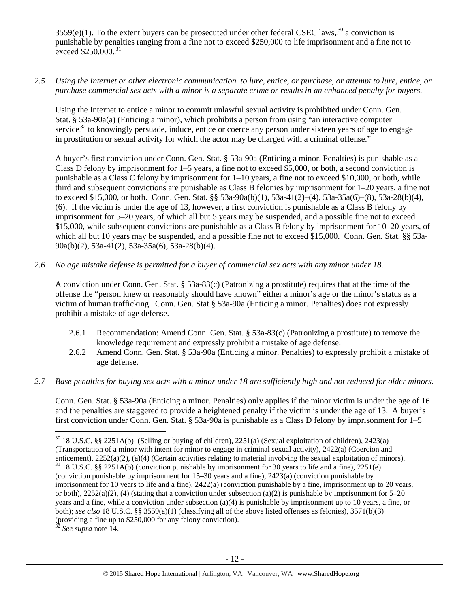$3559(e)(1)$ . To the extent buyers can be prosecuted under other federal CSEC laws,  $30^3$  a conviction is punishable by penalties ranging from a fine not to exceed \$250,000 to life imprisonment and a fine not to exceed  $$250,000.<sup>31</sup>$ 

#### *2.5 Using the Internet or other electronic communication to lure, entice, or purchase, or attempt to lure, entice, or purchase commercial sex acts with a minor is a separate crime or results in an enhanced penalty for buyers.*

Using the Internet to entice a minor to commit unlawful sexual activity is prohibited under Conn. Gen. Stat. § 53a-90a(a) (Enticing a minor), which prohibits a person from using "an interactive computer service.<sup>32</sup> to knowingly persuade, induce, entice or coerce any person under sixteen years of age to engage in prostitution or sexual activity for which the actor may be charged with a criminal offense."

A buyer's first conviction under Conn. Gen. Stat. § 53a-90a (Enticing a minor. Penalties) is punishable as a Class D felony by imprisonment for 1–5 years, a fine not to exceed \$5,000, or both, a second conviction is punishable as a Class C felony by imprisonment for 1–10 years, a fine not to exceed \$10,000, or both, while third and subsequent convictions are punishable as Class B felonies by imprisonment for 1–20 years, a fine not to exceed \$15,000, or both. Conn. Gen. Stat. §§ 53a-90a(b)(1), 53a-41(2)–(4), 53a-35a(6)–(8), 53a-28(b)(4), (6). If the victim is under the age of 13, however, a first conviction is punishable as a Class B felony by imprisonment for 5–20 years, of which all but 5 years may be suspended, and a possible fine not to exceed \$15,000, while subsequent convictions are punishable as a Class B felony by imprisonment for 10–20 years, of which all but 10 years may be suspended, and a possible fine not to exceed \$15,000. Conn. Gen. Stat. §§ 53a-90a(b)(2), 53a-41(2), 53a-35a(6), 53a-28(b)(4).

*2.6 No age mistake defense is permitted for a buyer of commercial sex acts with any minor under 18.*

A conviction under Conn. Gen. Stat. § 53a-83(c) (Patronizing a prostitute) requires that at the time of the offense the "person knew or reasonably should have known" either a minor's age or the minor's status as a victim of human trafficking. Conn. Gen. Stat § 53a-90a (Enticing a minor. Penalties) does not expressly prohibit a mistake of age defense.

- 2.6.1 Recommendation: Amend Conn. Gen. Stat. § 53a-83(c) (Patronizing a prostitute) to remove the knowledge requirement and expressly prohibit a mistake of age defense.
- 2.6.2 Amend Conn. Gen. Stat. § 53a-90a (Enticing a minor. Penalties) to expressly prohibit a mistake of age defense.
- *2.7 Base penalties for buying sex acts with a minor under 18 are sufficiently high and not reduced for older minors.*

Conn. Gen. Stat. § 53a-90a (Enticing a minor. Penalties) only applies if the minor victim is under the age of 16 and the penalties are staggered to provide a heightened penalty if the victim is under the age of 13. A buyer's first conviction under Conn. Gen. Stat. § 53a-90a is punishable as a Class D felony by imprisonment for 1–5

<sup>32</sup> *See supra* note [14.](#page-3-0) 

 <sup>30</sup> 18 U.S.C. §§ 2251A(b) (Selling or buying of children), 2251(a) (Sexual exploitation of children), 2423(a) (Transportation of a minor with intent for minor to engage in criminal sexual activity),  $2422(a)$  (Coercion and enticement),  $2252(a)(2)$ ,  $(a)(4)$  (Certain activities relating to material involving the sexual exploitation of  $^{31}$  18 U.S.C. §§ 2251A(b) (conviction punishable by imprisonment for 30 years to life and a fine), 2251(e) (conviction punishable by imprisonment for 15–30 years and a fine), 2423(a) (conviction punishable by imprisonment for 10 years to life and a fine), 2422(a) (conviction punishable by a fine, imprisonment up to 20 years, or both),  $2252(a)(2)$ , (4) (stating that a conviction under subsection (a)(2) is punishable by imprisonment for 5–20 years and a fine, while a conviction under subsection (a)(4) is punishable by imprisonment up to 10 years, a fine, or both); *see also* 18 U.S.C. §§ 3559(a)(1) (classifying all of the above listed offenses as felonies), 3571(b)(3) (providing a fine up to \$250,000 for any felony conviction).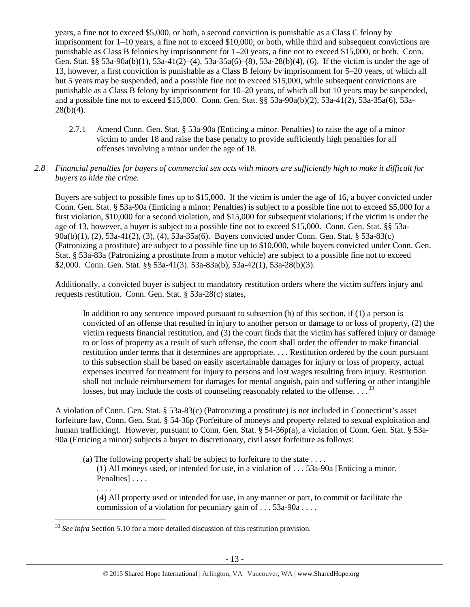years, a fine not to exceed \$5,000, or both, a second conviction is punishable as a Class C felony by imprisonment for 1–10 years, a fine not to exceed \$10,000, or both, while third and subsequent convictions are punishable as Class B felonies by imprisonment for 1–20 years, a fine not to exceed \$15,000, or both. Conn. Gen. Stat. §§ 53a-90a(b)(1), 53a-41(2)–(4), 53a-35a(6)–(8), 53a-28(b)(4), (6). If the victim is under the age of 13, however, a first conviction is punishable as a Class B felony by imprisonment for 5–20 years, of which all but 5 years may be suspended, and a possible fine not to exceed \$15,000, while subsequent convictions are punishable as a Class B felony by imprisonment for 10–20 years, of which all but 10 years may be suspended, and a possible fine not to exceed \$15,000. Conn. Gen. Stat. §§ 53a-90a(b)(2), 53a-41(2), 53a-35a(6), 53a- $28(b)(4)$ .

2.7.1 Amend Conn. Gen. Stat. § 53a-90a (Enticing a minor. Penalties) to raise the age of a minor victim to under 18 and raise the base penalty to provide sufficiently high penalties for all offenses involving a minor under the age of 18.

#### *2.8 Financial penalties for buyers of commercial sex acts with minors are sufficiently high to make it difficult for buyers to hide the crime.*

Buyers are subject to possible fines up to \$15,000. If the victim is under the age of 16, a buyer convicted under Conn. Gen. Stat. § 53a-90a (Enticing a minor: Penalties) is subject to a possible fine not to exceed \$5,000 for a first violation, \$10,000 for a second violation, and \$15,000 for subsequent violations; if the victim is under the age of 13, however, a buyer is subject to a possible fine not to exceed \$15,000. Conn. Gen. Stat. §§ 53a-90a(b)(1), (2), 53a-41(2), (3), (4), 53a-35a(6). Buyers convicted under Conn. Gen. Stat. § 53a-83(c) (Patronizing a prostitute) are subject to a possible fine up to \$10,000, while buyers convicted under Conn. Gen. Stat. § 53a-83a (Patronizing a prostitute from a motor vehicle) are subject to a possible fine not to exceed \$2,000. Conn. Gen. Stat. §§ 53a-41(3). 53a-83a(b), 53a-42(1), 53a-28(b)(3).

Additionally, a convicted buyer is subject to mandatory restitution orders where the victim suffers injury and requests restitution. Conn. Gen. Stat. § 53a-28(c) states,

In addition to any sentence imposed pursuant to subsection (b) of this section, if (1) a person is convicted of an offense that resulted in injury to another person or damage to or loss of property, (2) the victim requests financial restitution, and (3) the court finds that the victim has suffered injury or damage to or loss of property as a result of such offense, the court shall order the offender to make financial restitution under terms that it determines are appropriate. . . . Restitution ordered by the court pursuant to this subsection shall be based on easily ascertainable damages for injury or loss of property, actual expenses incurred for treatment for injury to persons and lost wages resulting from injury. Restitution shall not include reimbursement for damages for mental anguish, pain and suffering or other intangible losses, but may include the costs of counseling reasonably related to the offense.  $\dots$ <sup>33</sup>

A violation of Conn. Gen. Stat. § 53a-83(c) (Patronizing a prostitute) is not included in Connecticut's asset forfeiture law, Conn. Gen. Stat. § 54-36p (Forfeiture of moneys and property related to sexual exploitation and human trafficking). However, pursuant to Conn. Gen. Stat. § 54-36p(a), a violation of Conn. Gen. Stat. § 53a-90a (Enticing a minor) subjects a buyer to discretionary, civil asset forfeiture as follows:

(a) The following property shall be subject to forfeiture to the state  $\dots$ . (1) All moneys used, or intended for use, in a violation of . . . 53a-90a [Enticing a minor.

<span id="page-12-0"></span>Penalties] . . . . . . . .

(4) All property used or intended for use, in any manner or part, to commit or facilitate the commission of a violation for pecuniary gain of . . . 53a-90a . . . .

 <sup>33</sup> *See infra* Section 5.10 for a more detailed discussion of this restitution provision.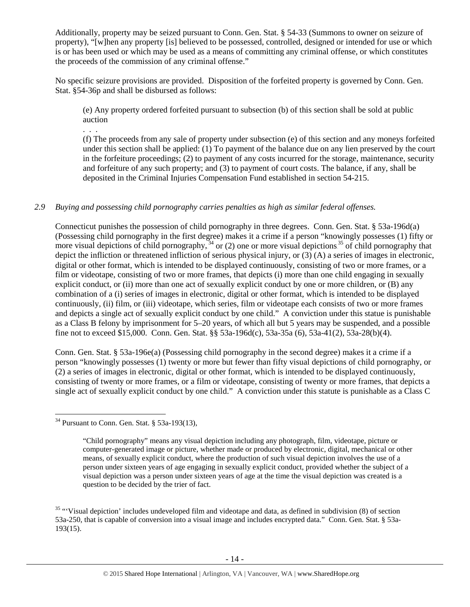Additionally, property may be seized pursuant to Conn. Gen. Stat. § 54-33 (Summons to owner on seizure of property), "[w]hen any property [is] believed to be possessed, controlled, designed or intended for use or which is or has been used or which may be used as a means of committing any criminal offense, or which constitutes the proceeds of the commission of any criminal offense."

No specific seizure provisions are provided. Disposition of the forfeited property is governed by Conn. Gen. Stat. §54-36p and shall be disbursed as follows:

(e) Any property ordered forfeited pursuant to subsection (b) of this section shall be sold at public auction

. . .

(f) The proceeds from any sale of property under subsection (e) of this section and any moneys forfeited under this section shall be applied: (1) To payment of the balance due on any lien preserved by the court in the forfeiture proceedings; (2) to payment of any costs incurred for the storage, maintenance, security and forfeiture of any such property; and (3) to payment of court costs. The balance, if any, shall be deposited in the Criminal Injuries Compensation Fund established in section 54-215.

# *2.9 Buying and possessing child pornography carries penalties as high as similar federal offenses.*

Connecticut punishes the possession of child pornography in three degrees. Conn. Gen. Stat. § 53a-196d(a) (Possessing child pornography in the first degree) makes it a crime if a person "knowingly possesses (1) fifty or more visual depictions of child pornography,  $34$  or (2) one or more visual depictions.<sup>35</sup> of child pornography that depict the infliction or threatened infliction of serious physical injury, or  $(3)$  (A) a series of images in electronic, digital or other format, which is intended to be displayed continuously, consisting of two or more frames, or a film or videotape, consisting of two or more frames, that depicts (i) more than one child engaging in sexually explicit conduct, or (ii) more than one act of sexually explicit conduct by one or more children, or (B) any combination of a (i) series of images in electronic, digital or other format, which is intended to be displayed continuously, (ii) film, or (iii) videotape, which series, film or videotape each consists of two or more frames and depicts a single act of sexually explicit conduct by one child." A conviction under this statue is punishable as a Class B felony by imprisonment for 5–20 years, of which all but 5 years may be suspended, and a possible fine not to exceed \$15,000. Conn. Gen. Stat. §§ 53a-196d(c), 53a-35a (6), 53a-41(2), 53a-28(b)(4).

Conn. Gen. Stat. § 53a-196e(a) (Possessing child pornography in the second degree) makes it a crime if a person "knowingly possesses (1) twenty or more but fewer than fifty visual depictions of child pornography, or (2) a series of images in electronic, digital or other format, which is intended to be displayed continuously, consisting of twenty or more frames, or a film or videotape, consisting of twenty or more frames, that depicts a single act of sexually explicit conduct by one child." A conviction under this statute is punishable as a Class C

 $34$  Pursuant to Conn. Gen. Stat. § 53a-193(13).

<sup>&</sup>quot;Child pornography" means any visual depiction including any photograph, film, videotape, picture or computer-generated image or picture, whether made or produced by electronic, digital, mechanical or other means, of sexually explicit conduct, where the production of such visual depiction involves the use of a person under sixteen years of age engaging in sexually explicit conduct, provided whether the subject of a visual depiction was a person under sixteen years of age at the time the visual depiction was created is a question to be decided by the trier of fact.

<sup>&</sup>lt;sup>35</sup> "Visual depiction' includes undeveloped film and videotape and data, as defined in subdivision (8) of section 53a-250, that is capable of conversion into a visual image and includes encrypted data." Conn. Gen. Stat. § 53a-193(15).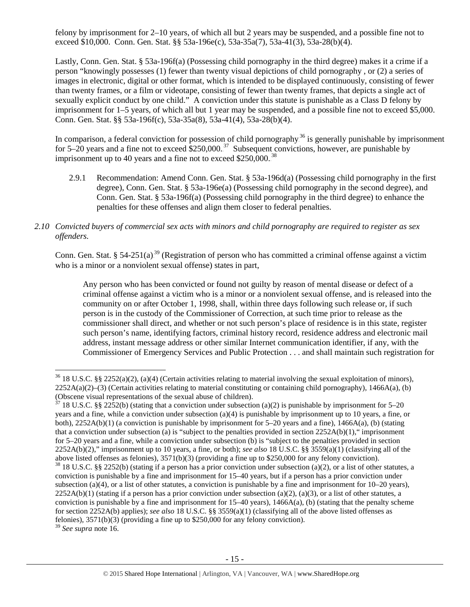felony by imprisonment for 2–10 years, of which all but 2 years may be suspended, and a possible fine not to exceed \$10,000. Conn. Gen. Stat. §§ 53a-196e(c), 53a-35a(7), 53a-41(3), 53a-28(b)(4).

Lastly, Conn. Gen. Stat. § 53a-196f(a) (Possessing child pornography in the third degree) makes it a crime if a person "knowingly possesses (1) fewer than twenty visual depictions of child pornography , or (2) a series of images in electronic, digital or other format, which is intended to be displayed continuously, consisting of fewer than twenty frames, or a film or videotape, consisting of fewer than twenty frames, that depicts a single act of sexually explicit conduct by one child." A conviction under this statute is punishable as a Class D felony by imprisonment for 1–5 years, of which all but 1 year may be suspended, and a possible fine not to exceed \$5,000. Conn. Gen. Stat. §§ 53a-196f(c), 53a-35a(8), 53a-41(4), 53a-28(b)(4).

In comparison, a federal conviction for possession of child pornography<sup>36</sup> is generally punishable by imprisonment for 5–20 years and a fine not to exceed  $$250,000$ .<sup>37</sup> Subsequent convictions, however, are punishable by imprisonment up to 40 years and a fine not to exceed \$250,000.<sup>38</sup>

2.9.1 Recommendation: Amend Conn. Gen. Stat. § 53a-196d(a) (Possessing child pornography in the first degree), Conn. Gen. Stat. § 53a-196e(a) (Possessing child pornography in the second degree), and Conn. Gen. Stat. § 53a-196f(a) (Possessing child pornography in the third degree) to enhance the penalties for these offenses and align them closer to federal penalties.

#### *2.10 Convicted buyers of commercial sex acts with minors and child pornography are required to register as sex offenders.*

Conn. Gen. Stat. § 54-251(a).<sup>39</sup> (Registration of person who has committed a criminal offense against a victim who is a minor or a nonviolent sexual offense) states in part,

Any person who has been convicted or found not guilty by reason of mental disease or defect of a criminal offense against a victim who is a minor or a nonviolent sexual offense, and is released into the community on or after October 1, 1998, shall, within three days following such release or, if such person is in the custody of the Commissioner of Correction, at such time prior to release as the commissioner shall direct, and whether or not such person's place of residence is in this state, register such person's name, identifying factors, criminal history record, residence address and electronic mail address, instant message address or other similar Internet communication identifier, if any, with the Commissioner of Emergency Services and Public Protection . . . and shall maintain such registration for

<sup>39</sup> *See supra* note [16.](#page-4-0)

 $36$  18 U.S.C. §§ 2252(a)(2), (a)(4) (Certain activities relating to material involving the sexual exploitation of minors),  $2252A(a)(2)$ –(3) (Certain activities relating to material constituting or containing child pornography), 1466A(a), (b) (Obscene visual representations of the sexual abuse of children).<br><sup>37</sup> 18 U.S.C. §§ 2252(b) (stating that a conviction under subsection (a)(2) is punishable by imprisonment for 5–20

years and a fine, while a conviction under subsection (a)(4) is punishable by imprisonment up to 10 years, a fine, or both), 2252A(b)(1) (a conviction is punishable by imprisonment for 5–20 years and a fine), 1466A(a), (b) (stating that a conviction under subsection (a) is "subject to the penalties provided in section  $2252A(b)(1)$ ," imprisonment for 5–20 years and a fine, while a conviction under subsection (b) is "subject to the penalties provided in section 2252A(b)(2)," imprisonment up to 10 years, a fine, or both); *see also* 18 U.S.C. §§ 3559(a)(1) (classifying all of the

<sup>&</sup>lt;sup>38</sup> 18 U.S.C. §§ 2252(b) (stating if a person has a prior conviction under subsection (a)(2), or a list of other statutes, a conviction is punishable by a fine and imprisonment for 15–40 years, but if a person has a prior conviction under subsection (a)(4), or a list of other statutes, a conviction is punishable by a fine and imprisonment for  $10-20$  years),  $2252A(b)(1)$  (stating if a person has a prior conviction under subsection (a)(2), (a)(3), or a list of other statutes, a conviction is punishable by a fine and imprisonment for  $15-40$  years),  $1466A(a)$ , (b) (stating that the penalty scheme for section 2252A(b) applies); *see also* 18 U.S.C. §§ 3559(a)(1) (classifying all of the above listed offenses as felonies), 3571(b)(3) (providing a fine up to \$250,000 for any felony conviction).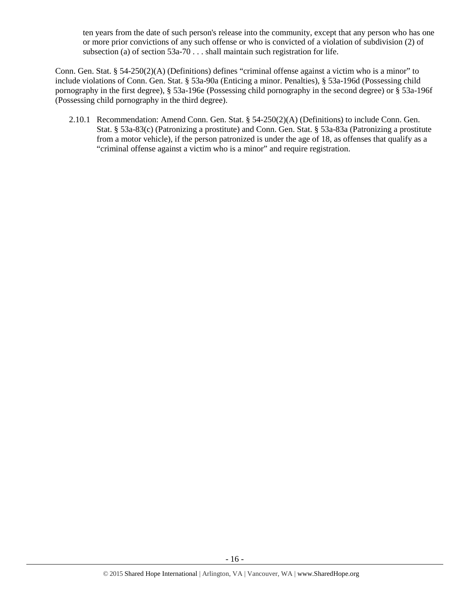ten years from the date of such person's release into the community, except that any person who has one or more prior convictions of any such offense or who is convicted of a violation of subdivision (2) of subsection (a) of section 53a-70 . . . shall maintain such registration for life.

Conn. Gen. Stat. § 54-250(2)(A) (Definitions) defines "criminal offense against a victim who is a minor" to include violations of Conn. Gen. Stat. § 53a-90a (Enticing a minor. Penalties), § 53a-196d (Possessing child pornography in the first degree), § 53a-196e (Possessing child pornography in the second degree) or § 53a-196f (Possessing child pornography in the third degree).

2.10.1 Recommendation: Amend Conn. Gen. Stat. § 54-250(2)(A) (Definitions) to include Conn. Gen. Stat. § 53a-83(c) (Patronizing a prostitute) and Conn. Gen. Stat. § 53a-83a (Patronizing a prostitute from a motor vehicle), if the person patronized is under the age of 18, as offenses that qualify as a "criminal offense against a victim who is a minor" and require registration.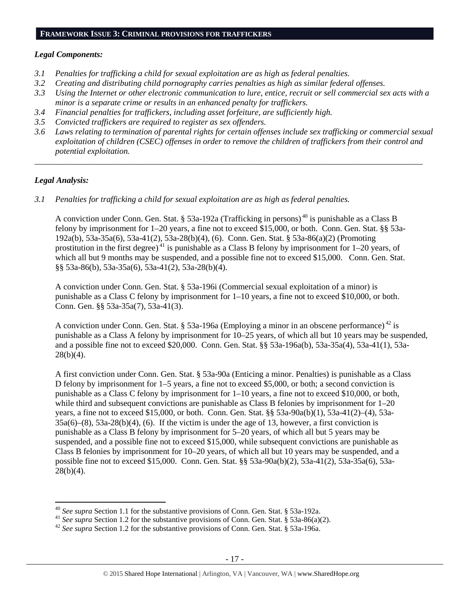## **FRAMEWORK ISSUE 3: CRIMINAL PROVISIONS FOR TRAFFICKERS**

#### *Legal Components:*

- *3.1 Penalties for trafficking a child for sexual exploitation are as high as federal penalties.*
- *3.2 Creating and distributing child pornography carries penalties as high as similar federal offenses.*
- *3.3 Using the Internet or other electronic communication to lure, entice, recruit or sell commercial sex acts with a minor is a separate crime or results in an enhanced penalty for traffickers.*
- *3.4 Financial penalties for traffickers, including asset forfeiture, are sufficiently high.*
- *3.5 Convicted traffickers are required to register as sex offenders.*
- *3.6 Laws relating to termination of parental rights for certain offenses include sex trafficking or commercial sexual exploitation of children (CSEC) offenses in order to remove the children of traffickers from their control and potential exploitation.*

*\_\_\_\_\_\_\_\_\_\_\_\_\_\_\_\_\_\_\_\_\_\_\_\_\_\_\_\_\_\_\_\_\_\_\_\_\_\_\_\_\_\_\_\_\_\_\_\_\_\_\_\_\_\_\_\_\_\_\_\_\_\_\_\_\_\_\_\_\_\_\_\_\_\_\_\_\_\_\_\_\_\_\_\_\_\_\_\_\_\_\_\_*

#### *Legal Analysis:*

*3.1 Penalties for trafficking a child for sexual exploitation are as high as federal penalties.* 

A conviction under Conn. Gen. Stat. § 53a-192a (Trafficking in persons).<sup>40</sup> is punishable as a Class B felony by imprisonment for 1–20 years, a fine not to exceed \$15,000, or both. Conn. Gen. Stat. §§ 53a-192a(b), 53a-35a(6), 53a-41(2), 53a-28(b)(4), (6). Conn. Gen. Stat. § 53a-86(a)(2) (Promoting prostitution in the first degree).<sup>41</sup> is punishable as a Class B felony by imprisonment for  $1-20$  years, of which all but 9 months may be suspended, and a possible fine not to exceed \$15,000. Conn. Gen. Stat. §§ 53a-86(b), 53a-35a(6), 53a-41(2), 53a-28(b)(4).

A conviction under Conn. Gen. Stat. § 53a-196i (Commercial sexual exploitation of a minor) is punishable as a Class C felony by imprisonment for 1–10 years, a fine not to exceed \$10,000, or both. Conn. Gen. §§ 53a-35a(7), 53a-41(3).

A conviction under Conn. Gen. Stat. § 53a-196a (Employing a minor in an obscene performance).<sup>42</sup> is punishable as a Class A felony by imprisonment for 10–25 years, of which all but 10 years may be suspended, and a possible fine not to exceed \$20,000. Conn. Gen. Stat. §§ 53a-196a(b), 53a-35a(4), 53a-41(1), 53a- $28(b)(4)$ .

A first conviction under Conn. Gen. Stat. § 53a-90a (Enticing a minor. Penalties) is punishable as a Class D felony by imprisonment for 1–5 years, a fine not to exceed \$5,000, or both; a second conviction is punishable as a Class C felony by imprisonment for 1–10 years, a fine not to exceed \$10,000, or both, while third and subsequent convictions are punishable as Class B felonies by imprisonment for  $1-20$ years, a fine not to exceed \$15,000, or both. Conn. Gen. Stat. §§ 53a-90a(b)(1), 53a-41(2)–(4), 53a-35a(6)–(8), 53a-28(b)(4), (6). If the victim is under the age of 13, however, a first conviction is punishable as a Class B felony by imprisonment for 5–20 years, of which all but 5 years may be suspended, and a possible fine not to exceed \$15,000, while subsequent convictions are punishable as Class B felonies by imprisonment for 10–20 years, of which all but 10 years may be suspended, and a possible fine not to exceed \$15,000. Conn. Gen. Stat. §§ 53a-90a(b)(2), 53a-41(2), 53a-35a(6), 53a- $28(b)(4)$ .

<sup>&</sup>lt;sup>40</sup> See supra Section 1.1 for the substantive provisions of Conn. Gen. Stat. § 53a-192a.<br><sup>41</sup> See supra Section 1.2 for the substantive provisions of Conn. Gen. Stat. § 53a-86(a)(2).<br><sup>42</sup> See supra Section 1.2 for the su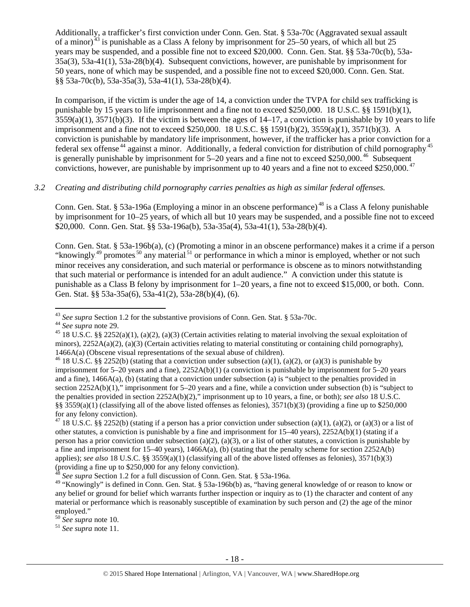Additionally, a trafficker's first conviction under Conn. Gen. Stat. § 53a-70c (Aggravated sexual assault of a minor) $^{43}$  is punishable as a Class A felony by imprisonment for 25–50 years, of which all but 25 years may be suspended, and a possible fine not to exceed \$20,000. Conn. Gen. Stat. §§ 53a-70c(b), 53a-35a(3), 53a-41(1), 53a-28(b)(4). Subsequent convictions, however, are punishable by imprisonment for 50 years, none of which may be suspended, and a possible fine not to exceed \$20,000. Conn. Gen. Stat. §§ 53a-70c(b), 53a-35a(3), 53a-41(1), 53a-28(b)(4).

In comparison, if the victim is under the age of 14, a conviction under the TVPA for child sex trafficking is punishable by 15 years to life imprisonment and a fine not to exceed \$250,000. 18 U.S.C. §§ 1591(b)(1),  $3559(a)(1)$ ,  $3571(b)(3)$ . If the victim is between the ages of  $14-17$ , a conviction is punishable by 10 years to life imprisonment and a fine not to exceed \$250,000. 18 U.S.C. §§ 1591(b)(2), 3559(a)(1), 3571(b)(3). A conviction is punishable by mandatory life imprisonment, however, if the trafficker has a prior conviction for a federal sex offense.<sup>44</sup> against a minor. Additionally, a federal conviction for distribution of child pornography.<sup>45</sup> is generally punishable by imprisonment for  $5-20$  years and a fine not to exceed \$250,000.<sup>46</sup> Subsequent convictions, however, are punishable by imprisonment up to 40 years and a fine not to exceed \$250,000.<sup>47</sup>

## *3.2 Creating and distributing child pornography carries penalties as high as similar federal offenses.*

Conn. Gen. Stat. § 53a-196a (Employing a minor in an obscene performance).<sup>48</sup> is a Class A felony punishable by imprisonment for 10–25 years, of which all but 10 years may be suspended, and a possible fine not to exceed \$20,000. Conn. Gen. Stat. §§ 53a-196a(b), 53a-35a(4), 53a-41(1), 53a-28(b)(4).

<span id="page-17-0"></span>Conn. Gen. Stat. § 53a-196b(a), (c) (Promoting a minor in an obscene performance) makes it a crime if a person "knowingly.<sup>49</sup> promotes.<sup>50</sup> any material.<sup>51</sup> or performance in which a minor is employed, whether or not such minor receives any consideration, and such material or performance is obscene as to minors notwithstanding that such material or performance is intended for an adult audience." A conviction under this statute is punishable as a Class B felony by imprisonment for 1–20 years, a fine not to exceed \$15,000, or both. Conn. Gen. Stat. §§ 53a-35a(6), 53a-41(2), 53a-28(b)(4), (6).

<sup>&</sup>lt;sup>43</sup> See supra Section 1.2 for the substantive provisions of Conn. Gen. Stat. § 53a-70c.<br><sup>44</sup> See supra note [29.](#page-10-0)<br><sup>45</sup> 18 U.S.C. §§ 2252(a)(1), (a)(2), (a)(3) (Certain activities relating to material involving the sexual e minors),  $2252A(a)(2)$ ,  $(a)(3)$  (Certain activities relating to material constituting or containing child pornography), 1466A(a) (Obscene visual representations of the sexual abuse of children).

<sup>&</sup>lt;sup>46</sup> 18 U.S.C. §§ 2252(b) (stating that a conviction under subsection (a)(1), (a)(2), or (a)(3) is punishable by imprisonment for 5–20 years and a fine), 2252A(b)(1) (a conviction is punishable by imprisonment for 5–20 years and a fine), 1466A(a), (b) (stating that a conviction under subsection (a) is "subject to the penalties provided in section 2252A(b)(1)," imprisonment for 5–20 years and a fine, while a conviction under subsection (b) is "subject to the penalties provided in section 2252A(b)(2)," imprisonment up to 10 years, a fine, or both); *see also* 18 U.S.C. §§  $3559(a)(1)$  (classifying all of the above listed offenses as felonies),  $3571(b)(3)$  (providing a fine up to \$250,000 for any felony conviction).

<sup>&</sup>lt;sup>47</sup> 18 U.S.C. §§ 2252(b) (stating if a person has a prior conviction under subsection (a)(1), (a)(2), or (a)(3) or a list of other statutes, a conviction is punishable by a fine and imprisonment for 15–40 years), 2252A(b)(1) (stating if a person has a prior conviction under subsection (a)(2), (a)(3), or a list of other statutes, a conviction is punishable by a fine and imprisonment for 15–40 years),  $1466A(a)$ , (b) (stating that the penalty scheme for section 2252A(b) applies); *see also* 18 U.S.C. §§ 3559(a)(1) (classifying all of the above listed offenses as felonies), 3571(b)(3) (providing a fine up to \$250,000 for any felony conviction).

<sup>48</sup> *See supra* Section 1.2 for a full discussion of Conn. Gen. Stat. § 53a-196a.

<sup>49</sup> "Knowingly" is defined in Conn. Gen. Stat. § 53a-196b(b) as, "having general knowledge of or reason to know or any belief or ground for belief which warrants further inspection or inquiry as to (1) the character and content of any material or performance which is reasonably susceptible of examination by such person and (2) the age of the minor employed."<br> $50$  See supra note 10.

<sup>50</sup> *See supra* note [10.](#page-2-0) 51 *See supra* note [11.](#page-2-1)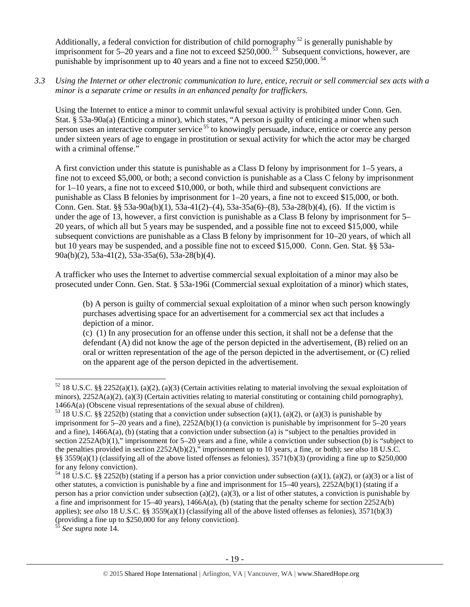Additionally, a federal conviction for distribution of child pornography.<sup>52</sup> is generally punishable by imprisonment for 5–20 years and a fine not to exceed \$250,000.<sup>53</sup> Subsequent convictions, however, are punishable by imprisonment up to 40 years and a fine not to exceed \$250,000.<sup>54</sup>

*3.3 Using the Internet or other electronic communication to lure, entice, recruit or sell commercial sex acts with a minor is a separate crime or results in an enhanced penalty for traffickers.*

Using the Internet to entice a minor to commit unlawful sexual activity is prohibited under Conn. Gen. Stat. § 53a-90a(a) (Enticing a minor), which states, "A person is guilty of enticing a minor when such person uses an interactive computer service.<sup>55</sup> to knowingly persuade, induce, entice or coerce any person under sixteen years of age to engage in prostitution or sexual activity for which the actor may be charged with a criminal offense."

A first conviction under this statute is punishable as a Class D felony by imprisonment for 1–5 years, a fine not to exceed \$5,000, or both; a second conviction is punishable as a Class C felony by imprisonment for 1–10 years, a fine not to exceed \$10,000, or both, while third and subsequent convictions are punishable as Class B felonies by imprisonment for 1–20 years, a fine not to exceed \$15,000, or both. Conn. Gen. Stat. §§ 53a-90a(b)(1), 53a-41(2)–(4), 53a-35a(6)–(8), 53a-28(b)(4), (6). If the victim is under the age of 13, however, a first conviction is punishable as a Class B felony by imprisonment for 5– 20 years, of which all but 5 years may be suspended, and a possible fine not to exceed \$15,000, while subsequent convictions are punishable as a Class B felony by imprisonment for 10–20 years, of which all but 10 years may be suspended, and a possible fine not to exceed \$15,000. Conn. Gen. Stat. §§ 53a-90a(b)(2), 53a-41(2), 53a-35a(6), 53a-28(b)(4).

A trafficker who uses the Internet to advertise commercial sexual exploitation of a minor may also be prosecuted under Conn. Gen. Stat. § 53a-196i (Commercial sexual exploitation of a minor) which states,

(b) A person is guilty of commercial sexual exploitation of a minor when such person knowingly purchases advertising space for an advertisement for a commercial sex act that includes a depiction of a minor.

(c) (1) In any prosecution for an offense under this section, it shall not be a defense that the defendant (A) did not know the age of the person depicted in the advertisement, (B) relied on an oral or written representation of the age of the person depicted in the advertisement, or (C) relied on the apparent age of the person depicted in the advertisement.

<sup>55</sup> *See supra* note [14.](#page-3-0)

 $52$  18 U.S.C. §§ 2252(a)(1), (a)(2), (a)(3) (Certain activities relating to material involving the sexual exploitation of minors), 2252A(a)(2), (a)(3) (Certain activities relating to material constituting or containing child pornography), 1466A(a) (Obscene visual representations of the sexual abuse of children).

<sup>&</sup>lt;sup>53</sup> 18 U.S.C. §§ 2252(b) (stating that a conviction under subsection (a)(1), (a)(2), or (a)(3) is punishable by imprisonment for 5–20 years and a fine), 2252A(b)(1) (a conviction is punishable by imprisonment for 5–20 years and a fine), 1466A(a), (b) (stating that a conviction under subsection (a) is "subject to the penalties provided in section 2252A(b)(1)," imprisonment for 5–20 years and a fine, while a conviction under subsection (b) is "subject to the penalties provided in section 2252A(b)(2)," imprisonment up to 10 years, a fine, or both); *see also* 18 U.S.C. §§ 3559(a)(1) (classifying all of the above listed offenses as felonies),  $3571(b)(3)$  (providing a fine up to \$250,000 for any felony conviction).

<sup>&</sup>lt;sup>54</sup> 18 U.S.C. §§ 2252(b) (stating if a person has a prior conviction under subsection (a)(1), (a)(2), or (a)(3) or a list of other statutes, a conviction is punishable by a fine and imprisonment for 15–40 years), 2252A(b)(1) (stating if a person has a prior conviction under subsection (a)(2), (a)(3), or a list of other statutes, a conviction is punishable by a fine and imprisonment for 15–40 years), 1466A(a), (b) (stating that the penalty scheme for section 2252A(b) applies); *see also* 18 U.S.C. §§ 3559(a)(1) (classifying all of the above listed offenses as felonies), 3571(b)(3) (providing a fine up to \$250,000 for any felony conviction).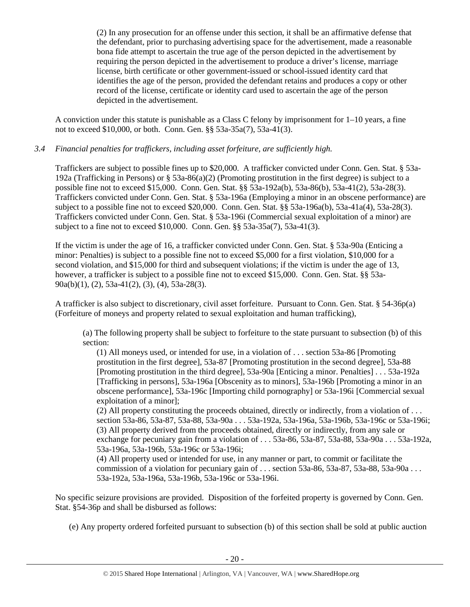(2) In any prosecution for an offense under this section, it shall be an affirmative defense that the defendant, prior to purchasing advertising space for the advertisement, made a reasonable bona fide attempt to ascertain the true age of the person depicted in the advertisement by requiring the person depicted in the advertisement to produce a driver's license, marriage license, birth certificate or other government-issued or school-issued identity card that identifies the age of the person, provided the defendant retains and produces a copy or other record of the license, certificate or identity card used to ascertain the age of the person depicted in the advertisement.

A conviction under this statute is punishable as a Class C felony by imprisonment for 1–10 years, a fine not to exceed \$10,000, or both. Conn. Gen. §§ 53a-35a(7), 53a-41(3).

#### *3.4 Financial penalties for traffickers, including asset forfeiture, are sufficiently high.*

Traffickers are subject to possible fines up to \$20,000. A trafficker convicted under Conn. Gen. Stat. § 53a-192a (Trafficking in Persons) or § 53a-86(a)(2) (Promoting prostitution in the first degree) is subject to a possible fine not to exceed \$15,000. Conn. Gen. Stat. §§ 53a-192a(b), 53a-86(b), 53a-41(2), 53a-28(3). Traffickers convicted under Conn. Gen. Stat. § 53a-196a (Employing a minor in an obscene performance) are subject to a possible fine not to exceed \$20,000. Conn. Gen. Stat. §§ 53a-196a(b), 53a-41a(4), 53a-28(3). Traffickers convicted under Conn. Gen. Stat. § 53a-196i (Commercial sexual exploitation of a minor) are subject to a fine not to exceed \$10,000. Conn. Gen. §§ 53a-35a(7), 53a-41(3).

If the victim is under the age of 16, a trafficker convicted under Conn. Gen. Stat. § 53a-90a (Enticing a minor: Penalties) is subject to a possible fine not to exceed \$5,000 for a first violation, \$10,000 for a second violation, and \$15,000 for third and subsequent violations; if the victim is under the age of 13, however, a trafficker is subject to a possible fine not to exceed \$15,000. Conn. Gen. Stat. §§ 53a-90a(b)(1), (2), 53a-41(2), (3), (4), 53a-28(3).

A trafficker is also subject to discretionary, civil asset forfeiture. Pursuant to Conn. Gen. Stat. § 54-36p(a) (Forfeiture of moneys and property related to sexual exploitation and human trafficking),

(a) The following property shall be subject to forfeiture to the state pursuant to subsection (b) of this section:

(1) All moneys used, or intended for use, in a violation of . . . section 53a-86 [Promoting prostitution in the first degree], 53a-87 [Promoting prostitution in the second degree], 53a-88 [Promoting prostitution in the third degree], 53a-90a [Enticing a minor. Penalties] . . . 53a-192a [Trafficking in persons], 53a-196a [Obscenity as to minors], 53a-196b [Promoting a minor in an obscene performance], 53a-196c [Importing child pornography] or 53a-196i [Commercial sexual exploitation of a minor];

(2) All property constituting the proceeds obtained, directly or indirectly, from a violation of . . . section 53a-86, 53a-87, 53a-88, 53a-90a . . . 53a-192a, 53a-196a, 53a-196b, 53a-196c or 53a-196i; (3) All property derived from the proceeds obtained, directly or indirectly, from any sale or exchange for pecuniary gain from a violation of . . . 53a-86, 53a-87, 53a-88, 53a-90a . . . 53a-192a, 53a-196a, 53a-196b, 53a-196c or 53a-196i;

(4) All property used or intended for use, in any manner or part, to commit or facilitate the commission of a violation for pecuniary gain of ... section  $53a-86$ ,  $53a-87$ ,  $53a-88$ ,  $53a-90a$ ... 53a-192a, 53a-196a, 53a-196b, 53a-196c or 53a-196i.

No specific seizure provisions are provided. Disposition of the forfeited property is governed by Conn. Gen. Stat. §54-36p and shall be disbursed as follows:

(e) Any property ordered forfeited pursuant to subsection (b) of this section shall be sold at public auction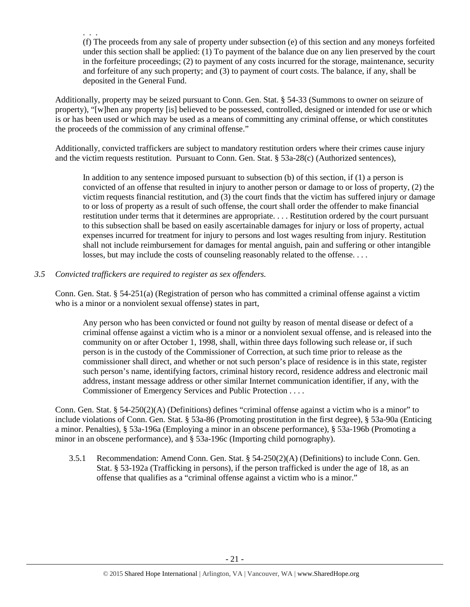. . . (f) The proceeds from any sale of property under subsection (e) of this section and any moneys forfeited under this section shall be applied: (1) To payment of the balance due on any lien preserved by the court in the forfeiture proceedings; (2) to payment of any costs incurred for the storage, maintenance, security and forfeiture of any such property; and (3) to payment of court costs. The balance, if any, shall be deposited in the General Fund.

Additionally, property may be seized pursuant to Conn. Gen. Stat. § 54-33 (Summons to owner on seizure of property), "[w]hen any property [is] believed to be possessed, controlled, designed or intended for use or which is or has been used or which may be used as a means of committing any criminal offense, or which constitutes the proceeds of the commission of any criminal offense."

Additionally, convicted traffickers are subject to mandatory restitution orders where their crimes cause injury and the victim requests restitution. Pursuant to Conn. Gen. Stat. § 53a-28(c) (Authorized sentences),

In addition to any sentence imposed pursuant to subsection (b) of this section, if (1) a person is convicted of an offense that resulted in injury to another person or damage to or loss of property, (2) the victim requests financial restitution, and (3) the court finds that the victim has suffered injury or damage to or loss of property as a result of such offense, the court shall order the offender to make financial restitution under terms that it determines are appropriate. . . . Restitution ordered by the court pursuant to this subsection shall be based on easily ascertainable damages for injury or loss of property, actual expenses incurred for treatment for injury to persons and lost wages resulting from injury. Restitution shall not include reimbursement for damages for mental anguish, pain and suffering or other intangible losses, but may include the costs of counseling reasonably related to the offense....

*3.5 Convicted traffickers are required to register as sex offenders.*

Conn. Gen. Stat. § 54-251(a) (Registration of person who has committed a criminal offense against a victim who is a minor or a nonviolent sexual offense) states in part,

Any person who has been convicted or found not guilty by reason of mental disease or defect of a criminal offense against a victim who is a minor or a nonviolent sexual offense, and is released into the community on or after October 1, 1998, shall, within three days following such release or, if such person is in the custody of the Commissioner of Correction, at such time prior to release as the commissioner shall direct, and whether or not such person's place of residence is in this state, register such person's name, identifying factors, criminal history record, residence address and electronic mail address, instant message address or other similar Internet communication identifier, if any, with the Commissioner of Emergency Services and Public Protection . . . .

Conn. Gen. Stat. § 54-250(2)(A) (Definitions) defines "criminal offense against a victim who is a minor" to include violations of Conn. Gen. Stat. § 53a-86 (Promoting prostitution in the first degree), § 53a-90a (Enticing a minor. Penalties), § 53a-196a (Employing a minor in an obscene performance), § 53a-196b (Promoting a minor in an obscene performance), and § 53a-196c (Importing child pornography).

3.5.1 Recommendation: Amend Conn. Gen. Stat. § 54-250(2)(A) (Definitions) to include Conn. Gen. Stat. § 53-192a (Trafficking in persons), if the person trafficked is under the age of 18, as an offense that qualifies as a "criminal offense against a victim who is a minor."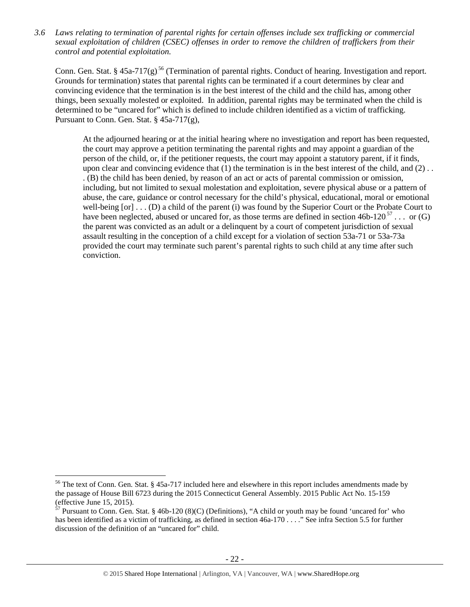*3.6 Laws relating to termination of parental rights for certain offenses include sex trafficking or commercial sexual exploitation of children (CSEC) offenses in order to remove the children of traffickers from their control and potential exploitation.* 

Conn. Gen. Stat. §  $45a-717(g)$ <sup>56</sup> (Termination of parental rights. Conduct of hearing. Investigation and report. Grounds for termination) states that parental rights can be terminated if a court determines by clear and convincing evidence that the termination is in the best interest of the child and the child has, among other things, been sexually molested or exploited. In addition, parental rights may be terminated when the child is determined to be "uncared for" which is defined to include children identified as a victim of trafficking. Pursuant to Conn. Gen. Stat.  $\frac{1}{2}$  45a-717(g).

At the adjourned hearing or at the initial hearing where no investigation and report has been requested, the court may approve a petition terminating the parental rights and may appoint a guardian of the person of the child, or, if the petitioner requests, the court may appoint a statutory parent, if it finds, upon clear and convincing evidence that  $(1)$  the termination is in the best interest of the child, and  $(2)$ . . (B) the child has been denied, by reason of an act or acts of parental commission or omission, including, but not limited to sexual molestation and exploitation, severe physical abuse or a pattern of abuse, the care, guidance or control necessary for the child's physical, educational, moral or emotional well-being [or]  $\dots$  (D) a child of the parent (i) was found by the Superior Court or the Probate Court to have been neglected, abused or uncared for, as those terms are defined in section  $46b-120^{57}$ ... or (G) the parent was convicted as an adult or a delinquent by a court of competent jurisdiction of sexual assault resulting in the conception of a child except for a violation of section 53a-71 or 53a-73a provided the court may terminate such parent's parental rights to such child at any time after such conviction.

<sup>&</sup>lt;sup>56</sup> The text of Conn. Gen. Stat. § 45a-717 included here and elsewhere in this report includes amendments made by the passage of House Bill 6723 during the 2015 Connecticut General Assembly. 2015 Public Act No. 15-159 (effective June 15, 2015).

 $57$  Pursuant to Conn. Gen. Stat. § 46b-120 (8)(C) (Definitions), "A child or youth may be found 'uncared for' who has been identified as a victim of trafficking, as defined in section 46a-170 . . . ." See infra Section 5.5 for further discussion of the definition of an "uncared for" child.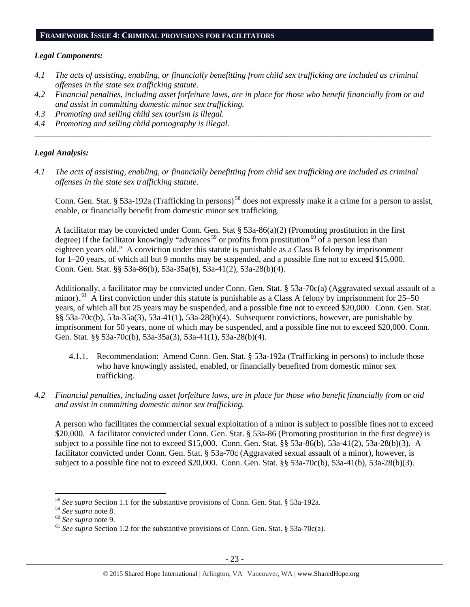#### **FRAMEWORK ISSUE 4: CRIMINAL PROVISIONS FOR FACILITATORS**

#### *Legal Components:*

- *4.1 The acts of assisting, enabling, or financially benefitting from child sex trafficking are included as criminal offenses in the state sex trafficking statute.*
- *4.2 Financial penalties, including asset forfeiture laws, are in place for those who benefit financially from or aid and assist in committing domestic minor sex trafficking.*

*\_\_\_\_\_\_\_\_\_\_\_\_\_\_\_\_\_\_\_\_\_\_\_\_\_\_\_\_\_\_\_\_\_\_\_\_\_\_\_\_\_\_\_\_\_\_\_\_\_\_\_\_\_\_\_\_\_\_\_\_\_\_\_\_\_\_\_\_\_\_\_\_\_\_\_\_\_\_\_\_\_\_\_\_\_\_\_\_\_\_\_\_\_\_*

- *4.3 Promoting and selling child sex tourism is illegal.*
- *4.4 Promoting and selling child pornography is illegal.*

#### *Legal Analysis:*

*4.1 The acts of assisting, enabling, or financially benefitting from child sex trafficking are included as criminal offenses in the state sex trafficking statute.*

Conn. Gen. Stat. § 53a-192a (Trafficking in persons).<sup>58</sup> does not expressly make it a crime for a person to assist, enable, or financially benefit from domestic minor sex trafficking.

A facilitator may be convicted under Conn. Gen. Stat § 53a-86(a)(2) (Promoting prostitution in the first degree) if the facilitator knowingly "advances.<sup>59</sup> or profits from prostitution.<sup>60</sup> of a person less than eighteen years old." A conviction under this statute is punishable as a Class B felony by imprisonment for 1–20 years, of which all but 9 months may be suspended, and a possible fine not to exceed \$15,000. Conn. Gen. Stat. §§ 53a-86(b), 53a-35a(6), 53a-41(2), 53a-28(b)(4).

Additionally, a facilitator may be convicted under Conn. Gen. Stat. § 53a-70c(a) (Aggravated sexual assault of a minor).<sup>61</sup> A first conviction under this statute is punishable as a Class A felony by imprisonment for  $25-50$ years, of which all but 25 years may be suspended, and a possible fine not to exceed \$20,000. Conn. Gen. Stat. §§ 53a-70c(b), 53a-35a(3), 53a-41(1), 53a-28(b)(4). Subsequent convictions, however, are punishable by imprisonment for 50 years, none of which may be suspended, and a possible fine not to exceed \$20,000. Conn. Gen. Stat. §§ 53a-70c(b), 53a-35a(3), 53a-41(1), 53a-28(b)(4).

- 4.1.1. Recommendation: Amend Conn. Gen. Stat. § 53a-192a (Trafficking in persons) to include those who have knowingly assisted, enabled, or financially benefited from domestic minor sex trafficking.
- *4.2 Financial penalties, including asset forfeiture laws, are in place for those who benefit financially from or aid and assist in committing domestic minor sex trafficking.*

A person who facilitates the commercial sexual exploitation of a minor is subject to possible fines not to exceed \$20,000. A facilitator convicted under Conn. Gen. Stat. § 53a-86 (Promoting prostitution in the first degree) is subject to a possible fine not to exceed \$15,000. Conn. Gen. Stat. §§ 53a-86(b), 53a-41(2), 53a-28(b)(3). A facilitator convicted under Conn. Gen. Stat. § 53a-70c (Aggravated sexual assault of a minor), however, is subject to a possible fine not to exceed \$20,000. Conn. Gen. Stat. §§ 53a-70c(b), 53a-41(b), 53a-28(b)(3).

<sup>&</sup>lt;sup>58</sup> *See supra* Section 1.1 for the substantive provisions of Conn. Gen. Stat. § 53a-192a.<br><sup>59</sup> *See supra* note 8.

<sup>59</sup> *See supra* note [8.](#page-2-2) <sup>60</sup> *See supra* note [9.](#page-2-3) <sup>61</sup> *See supra* Section 1.2 for the substantive provisions of Conn. Gen. Stat. § 53a-70c(a).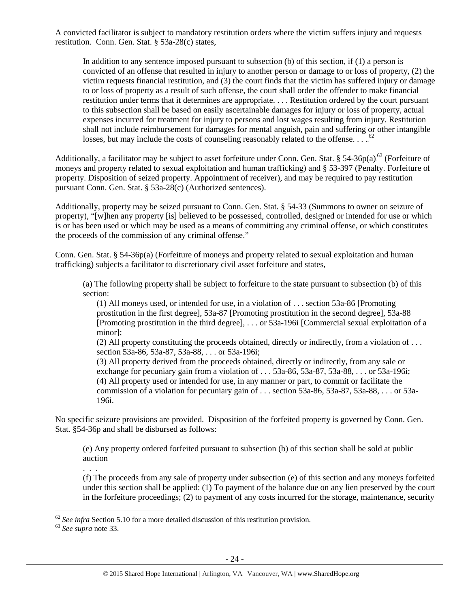A convicted facilitator is subject to mandatory restitution orders where the victim suffers injury and requests restitution. Conn. Gen. Stat. § 53a-28(c) states,

In addition to any sentence imposed pursuant to subsection (b) of this section, if (1) a person is convicted of an offense that resulted in injury to another person or damage to or loss of property, (2) the victim requests financial restitution, and (3) the court finds that the victim has suffered injury or damage to or loss of property as a result of such offense, the court shall order the offender to make financial restitution under terms that it determines are appropriate. . . . Restitution ordered by the court pursuant to this subsection shall be based on easily ascertainable damages for injury or loss of property, actual expenses incurred for treatment for injury to persons and lost wages resulting from injury. Restitution shall not include reimbursement for damages for mental anguish, pain and suffering or other intangible losses, but may include the costs of counseling reasonably related to the offense.  $\ldots$ <sup>62</sup>

Additionally, a facilitator may be subject to asset forfeiture under Conn. Gen. Stat. § 54-36p(a).<sup>63</sup> (Forfeiture of moneys and property related to sexual exploitation and human trafficking) and § 53-397 (Penalty. Forfeiture of property. Disposition of seized property. Appointment of receiver), and may be required to pay restitution pursuant Conn. Gen. Stat. § 53a-28(c) (Authorized sentences).

Additionally, property may be seized pursuant to Conn. Gen. Stat. § 54-33 (Summons to owner on seizure of property), "[w]hen any property [is] believed to be possessed, controlled, designed or intended for use or which is or has been used or which may be used as a means of committing any criminal offense, or which constitutes the proceeds of the commission of any criminal offense."

Conn. Gen. Stat. § 54-36p(a) (Forfeiture of moneys and property related to sexual exploitation and human trafficking) subjects a facilitator to discretionary civil asset forfeiture and states,

(a) The following property shall be subject to forfeiture to the state pursuant to subsection (b) of this section:

(1) All moneys used, or intended for use, in a violation of . . . section 53a-86 [Promoting prostitution in the first degree], 53a-87 [Promoting prostitution in the second degree], 53a-88 [Promoting prostitution in the third degree], . . . or 53a-196i [Commercial sexual exploitation of a minor];

(2) All property constituting the proceeds obtained, directly or indirectly, from a violation of . . . section 53a-86, 53a-87, 53a-88, . . . or 53a-196i;

(3) All property derived from the proceeds obtained, directly or indirectly, from any sale or exchange for pecuniary gain from a violation of . . . 53a-86, 53a-87, 53a-88, . . . or 53a-196i; (4) All property used or intended for use, in any manner or part, to commit or facilitate the commission of a violation for pecuniary gain of . . . section 53a-86, 53a-87, 53a-88, . . . or 53a-196i.

No specific seizure provisions are provided. Disposition of the forfeited property is governed by Conn. Gen. Stat. §54-36p and shall be disbursed as follows:

(e) Any property ordered forfeited pursuant to subsection (b) of this section shall be sold at public auction

. . .

(f) The proceeds from any sale of property under subsection (e) of this section and any moneys forfeited under this section shall be applied: (1) To payment of the balance due on any lien preserved by the court in the forfeiture proceedings; (2) to payment of any costs incurred for the storage, maintenance, security

<sup>62</sup> *See infra* Section 5.10 for a more detailed discussion of this restitution provision. <sup>63</sup> *See supra* note [33.](#page-12-0)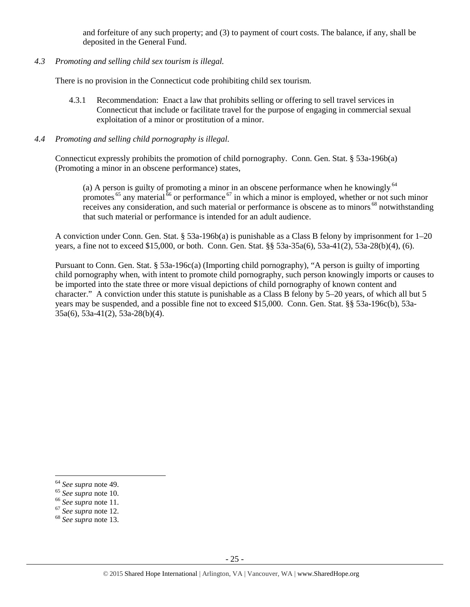and forfeiture of any such property; and (3) to payment of court costs. The balance, if any, shall be deposited in the General Fund.

## *4.3 Promoting and selling child sex tourism is illegal.*

There is no provision in the Connecticut code prohibiting child sex tourism.

4.3.1 Recommendation: Enact a law that prohibits selling or offering to sell travel services in Connecticut that include or facilitate travel for the purpose of engaging in commercial sexual exploitation of a minor or prostitution of a minor.

## *4.4 Promoting and selling child pornography is illegal.*

Connecticut expressly prohibits the promotion of child pornography. Conn. Gen. Stat. § 53a-196b(a) (Promoting a minor in an obscene performance) states,

(a) A person is guilty of promoting a minor in an obscene performance when he knowingly.<sup>64</sup> promotes.<sup>65</sup> any material.<sup>66</sup> or performance.<sup>67</sup> in which a minor is employed, whether or not such minor receives any consideration, and such material or performance is obscene as to minors.<sup>68</sup> notwithstanding that such material or performance is intended for an adult audience.

A conviction under Conn. Gen. Stat. § 53a-196b(a) is punishable as a Class B felony by imprisonment for 1–20 years, a fine not to exceed \$15,000, or both. Conn. Gen. Stat. §§ 53a-35a(6), 53a-41(2), 53a-28(b)(4), (6).

Pursuant to Conn. Gen. Stat. § 53a-196c(a) (Importing child pornography), "A person is guilty of importing child pornography when, with intent to promote child pornography, such person knowingly imports or causes to be imported into the state three or more visual depictions of child pornography of known content and character." A conviction under this statute is punishable as a Class B felony by 5–20 years, of which all but 5 years may be suspended, and a possible fine not to exceed \$15,000. Conn. Gen. Stat. §§ 53a-196c(b), 53a-35a(6), 53a-41(2), 53a-28(b)(4).

<sup>64</sup> *See supra* note [49.](#page-17-0) 65 *See supra* note [10.](#page-2-0) 66 *See supra* note [11.](#page-2-1) <sup>67</sup> *See supra* note [12.](#page-2-4) <sup>68</sup> *See supra* note [13.](#page-2-5)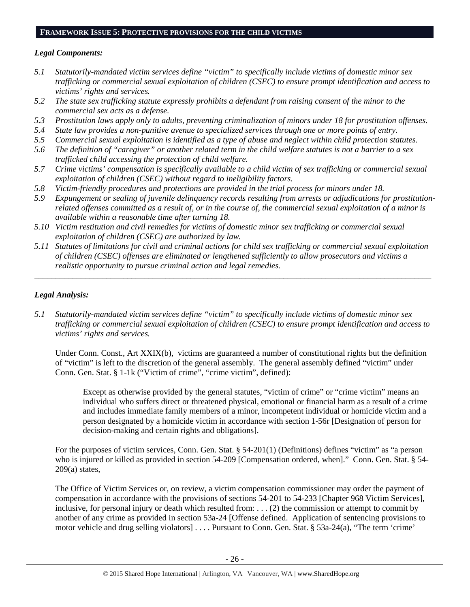#### **FRAMEWORK ISSUE 5: PROTECTIVE PROVISIONS FOR THE CHILD VICTIMS**

#### *Legal Components:*

- *5.1 Statutorily-mandated victim services define "victim" to specifically include victims of domestic minor sex trafficking or commercial sexual exploitation of children (CSEC) to ensure prompt identification and access to victims' rights and services.*
- *5.2 The state sex trafficking statute expressly prohibits a defendant from raising consent of the minor to the commercial sex acts as a defense.*
- *5.3 Prostitution laws apply only to adults, preventing criminalization of minors under 18 for prostitution offenses.*
- *5.4 State law provides a non-punitive avenue to specialized services through one or more points of entry.*
- *5.5 Commercial sexual exploitation is identified as a type of abuse and neglect within child protection statutes.*
- *5.6 The definition of "caregiver" or another related term in the child welfare statutes is not a barrier to a sex trafficked child accessing the protection of child welfare.*
- *5.7 Crime victims' compensation is specifically available to a child victim of sex trafficking or commercial sexual exploitation of children (CSEC) without regard to ineligibility factors.*
- *5.8 Victim-friendly procedures and protections are provided in the trial process for minors under 18.*
- *5.9 Expungement or sealing of juvenile delinquency records resulting from arrests or adjudications for prostitutionrelated offenses committed as a result of, or in the course of, the commercial sexual exploitation of a minor is available within a reasonable time after turning 18.*
- *5.10 Victim restitution and civil remedies for victims of domestic minor sex trafficking or commercial sexual exploitation of children (CSEC) are authorized by law.*
- *5.11 Statutes of limitations for civil and criminal actions for child sex trafficking or commercial sexual exploitation of children (CSEC) offenses are eliminated or lengthened sufficiently to allow prosecutors and victims a realistic opportunity to pursue criminal action and legal remedies.*

*\_\_\_\_\_\_\_\_\_\_\_\_\_\_\_\_\_\_\_\_\_\_\_\_\_\_\_\_\_\_\_\_\_\_\_\_\_\_\_\_\_\_\_\_\_\_\_\_\_\_\_\_\_\_\_\_\_\_\_\_\_\_\_\_\_\_\_\_\_\_\_\_\_\_\_\_\_\_\_\_\_\_\_\_\_\_\_\_\_\_\_\_\_\_*

## *Legal Analysis:*

*5.1 Statutorily-mandated victim services define "victim" to specifically include victims of domestic minor sex trafficking or commercial sexual exploitation of children (CSEC) to ensure prompt identification and access to victims' rights and services.* 

Under Conn. Const., Art XXIX(b), victims are guaranteed a number of constitutional rights but the definition of "victim" is left to the discretion of the general assembly. The general assembly defined "victim" under Conn. Gen. Stat. § 1-1k ("Victim of crime", "crime victim", defined):

Except as otherwise provided by the general statutes, "victim of crime" or "crime victim" means an individual who suffers direct or threatened physical, emotional or financial harm as a result of a crime and includes immediate family members of a minor, incompetent individual or homicide victim and a person designated by a homicide victim in accordance with section 1-56r [Designation of person for decision-making and certain rights and obligations].

For the purposes of victim services, Conn. Gen. Stat. § 54-201(1) (Definitions) defines "victim" as "a person who is injured or killed as provided in [section 54-209](https://www.lexis.com/research/buttonTFLink?_m=8b18f590ff53732c9db250a40b78b252&_xfercite=%3ccite%20cc%3d%22USA%22%3e%3c%21%5bCDATA%5bConn.%20Gen.%20Stat.%20%a7%2054-201%5d%5d%3e%3c%2fcite%3e&_butType=4&_butStat=0&_butNum=4&_butInline=1&_butinfo=CTCODE%2054-209&_fmtstr=FULL&docnum=1&_startdoc=1&wchp=dGLbVzk-zSkAz&_md5=2c6cfce5aa2356fa9f15bb65bdb27b13) [Compensation ordered, when]." Conn. Gen. Stat. § 54- $209(a)$  states,

The Office of Victim Services or, on review, a victim compensation commissioner may order the payment of compensation in accordance with the provisions of sections 54-201 to 54-233 [Chapter 968 Victim Services], inclusive, for personal injury or death which resulted from: . . . (2) the commission or attempt to commit by another of any crime as provided in section 53a-24 [Offense defined. Application of sentencing provisions to motor vehicle and drug selling violators] . . . . Pursuant to Conn. Gen. Stat. § 53a-24(a), "The term 'crime'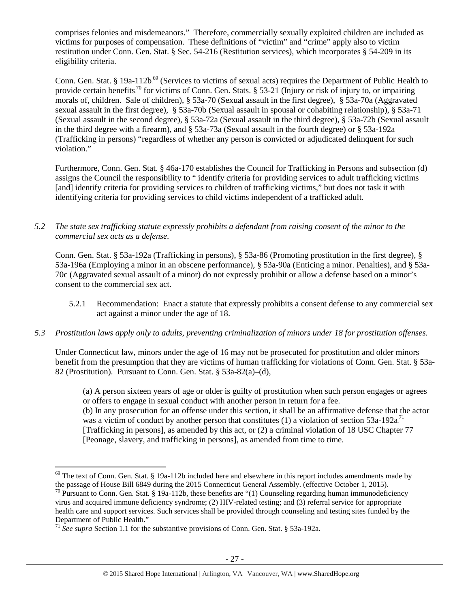comprises felonies and misdemeanors." Therefore, commercially sexually exploited children are included as victims for purposes of compensation. These definitions of "victim" and "crime" apply also to victim restitution under Conn. Gen. Stat. § Sec. 54-216 (Restitution services), which incorporates § 54-209 in its eligibility criteria.

Conn. Gen. Stat. § 19a-112b.<sup>69</sup> (Services to victims of sexual acts) requires the Department of Public Health to provide certain benefits.<sup>70</sup> for victims of Conn. Gen. Stats. § 53-21 (Injury or risk of injury to, or impairing morals of, children. Sale of children), § 53a-70 (Sexual assault in the first degree), § 53a-70a (Aggravated sexual assault in the first degree), § 53a-70b (Sexual assault in spousal or cohabiting relationship), § 53a-71 (Sexual assault in the second degree), § 53a-72a (Sexual assault in the third degree), § 53a-72b (Sexual assault in the third degree with a firearm), and § 53a-73a (Sexual assault in the fourth degree) or § 53a-192a (Trafficking in persons) "regardless of whether any person is convicted or adjudicated delinquent for such violation."

Furthermore, Conn. Gen. Stat. § 46a-170 establishes the Council for Trafficking in Persons and subsection (d) assigns the Council the responsibility to " identify criteria for providing services to adult trafficking victims [and] identify criteria for providing services to children of trafficking victims," but does not task it with identifying criteria for providing services to child victims independent of a trafficked adult.

*5.2 The state sex trafficking statute expressly prohibits a defendant from raising consent of the minor to the commercial sex acts as a defense.*

Conn. Gen. Stat. § 53a-192a (Trafficking in persons), § 53a-86 (Promoting prostitution in the first degree), § 53a-196a (Employing a minor in an obscene performance), § 53a-90a (Enticing a minor. Penalties), and § 53a-70c (Aggravated sexual assault of a minor) do not expressly prohibit or allow a defense based on a minor's consent to the commercial sex act.

- 5.2.1 Recommendation: Enact a statute that expressly prohibits a consent defense to any commercial sex act against a minor under the age of 18.
- *5.3 Prostitution laws apply only to adults, preventing criminalization of minors under 18 for prostitution offenses.*

Under Connecticut law, minors under the age of 16 may not be prosecuted for prostitution and older minors benefit from the presumption that they are victims of human trafficking for violations of Conn. Gen. Stat. § 53a-82 (Prostitution). Pursuant to Conn. Gen. Stat. § 53a-82(a)–(d),

(a) A person sixteen years of age or older is guilty of prostitution when such person engages or agrees or offers to engage in sexual conduct with another person in return for a fee.

(b) In any prosecution for an offense under this section, it shall be an affirmative defense that the actor was a victim of conduct by another person that constitutes (1) a violation of section  $53a-192a$ <sup>71</sup> [Trafficking in persons], as amended by this act, or (2) a criminal violation of 18 USC Chapter 77 [Peonage, slavery, and trafficking in persons], as amended from time to time.

<sup>&</sup>lt;sup>69</sup> The text of Conn. Gen. Stat. § 19a-112b included here and elsewhere in this report includes amendments made by the passage of House Bill 6849 during the 2015 Connecticut General Assembly. (effective October 1, 2015).

<sup>&</sup>lt;sup>70</sup> Pursuant to Conn. Gen. Stat. § 19a-112b, these benefits are "(1) Counseling regarding human immunodeficiency virus and acquired immune deficiency syndrome; (2) HIV-related testing; and (3) referral service for appropriate health care and support services. Such services shall be provided through counseling and testing sites funded by the Department of Public Health."

<sup>71</sup> *See supra* Section 1.1 for the substantive provisions of Conn. Gen. Stat. § 53a-192a.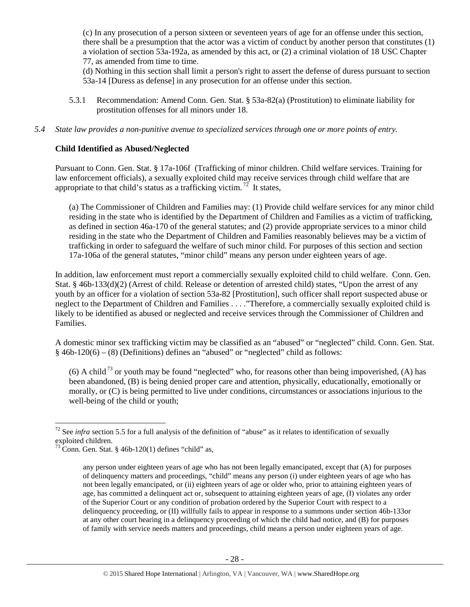(c) In any prosecution of a person sixteen or seventeen years of age for an offense under this section, there shall be a presumption that the actor was a victim of conduct by another person that constitutes (1) a violation of section 53a-192a, as amended by this act, or (2) a criminal violation of 18 USC Chapter 77, as amended from time to time.

(d) Nothing in this section shall limit a person's right to assert the defense of duress pursuant to section 53a-14 [Duress as defense] in any prosecution for an offense under this section.

5.3.1 Recommendation: Amend Conn. Gen. Stat. § 53a-82(a) (Prostitution) to eliminate liability for prostitution offenses for all minors under 18.

#### *5.4 State law provides a non-punitive avenue to specialized services through one or more points of entry.*

#### **Child Identified as Abused/Neglected**

Pursuant to Conn. Gen. Stat. § 17a-106f (Trafficking of minor children. Child welfare services. Training for law enforcement officials), a sexually exploited child may receive services through child welfare that are appropriate to that child's status as a trafficking victim.<sup>72</sup> It states,

(a) The Commissioner of Children and Families may: (1) Provide child welfare services for any minor child residing in the state who is identified by the Department of Children and Families as a victim of trafficking, as defined in section 46a-170 of the general statutes; and (2) provide appropriate services to a minor child residing in the state who the Department of Children and Families reasonably believes may be a victim of trafficking in order to safeguard the welfare of such minor child. For purposes of this section and section 17a-106a of the general statutes, "minor child" means any person under eighteen years of age.

In addition, law enforcement must report a commercially sexually exploited child to child welfare. Conn. Gen. Stat. § 46b-133(d)(2) (Arrest of child. Release or detention of arrested child) states, "Upon the arrest of any youth by an officer for a violation of section 53a-82 [Prostitution], such officer shall report suspected abuse or neglect to the Department of Children and Families . . . ."Therefore, a commercially sexually exploited child is likely to be identified as abused or neglected and receive services through the Commissioner of Children and Families.

A domestic minor sex trafficking victim may be classified as an "abused" or "neglected" child. Conn. Gen. Stat.  $§$  46b-120(6) – (8) (Definitions) defines an "abused" or "neglected" child as follows:

(6) A child<sup>73</sup> or youth may be found "neglected" who, for reasons other than being impoverished, (A) has been abandoned, (B) is being denied proper care and attention, physically, educationally, emotionally or morally, or (C) is being permitted to live under conditions, circumstances or associations injurious to the well-being of the child or youth;

<sup>&</sup>lt;sup>72</sup> See *infra* section 5.5 for a full analysis of the definition of "abuse" as it relates to identification of sexually exploited children.

 $73$  Conn. Gen. Stat. § 46b-120(1) defines "child" as,

any person under eighteen years of age who has not been legally emancipated, except that (A) for purposes of delinquency matters and proceedings, "child" means any person (i) under eighteen years of age who has not been legally emancipated, or (ii) eighteen years of age or older who, prior to attaining eighteen years of age, has committed a delinquent act or, subsequent to attaining eighteen years of age, (I) violates any order of the Superior Court or any condition of probation ordered by the Superior Court with respect to a delinquency proceeding, or (II) willfully fails to appear in response to a summons under section 46b-133or at any other court hearing in a delinquency proceeding of which the child had notice, and (B) for purposes of family with service needs matters and proceedings, child means a person under eighteen years of age.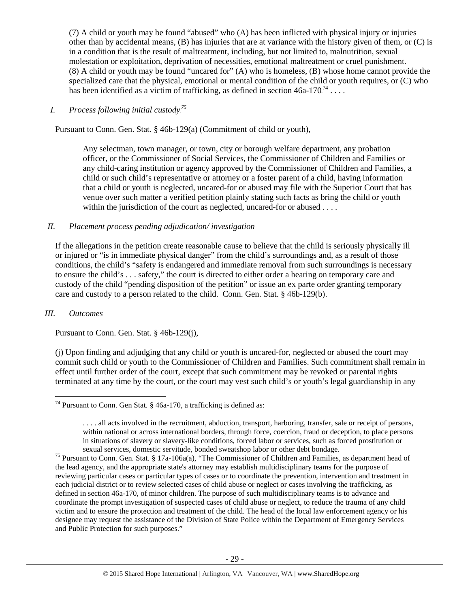(7) A child or youth may be found "abused" who (A) has been inflicted with physical injury or injuries other than by accidental means, (B) has injuries that are at variance with the history given of them, or (C) is in a condition that is the result of maltreatment, including, but not limited to, malnutrition, sexual molestation or exploitation, deprivation of necessities, emotional maltreatment or cruel punishment. (8) A child or youth may be found "uncared for" (A) who is homeless, (B) whose home cannot provide the specialized care that the physical, emotional or mental condition of the child or youth requires, or (C) who has been identified as a victim of trafficking, as defined in section  $46a-170^{74}$ ...

# *I.* Process following initial custody.<sup>75</sup>

Pursuant to Conn. Gen. Stat. § 46b-129(a) (Commitment of child or youth),

Any selectman, town manager, or town, city or borough welfare department, any probation officer, or the Commissioner of Social Services, the Commissioner of Children and Families or any child-caring institution or agency approved by the Commissioner of Children and Families, a child or such child's representative or attorney or a foster parent of a child, having information that a child or youth is neglected, uncared-for or abused may file with the Superior Court that has venue over such matter a verified petition plainly stating such facts as bring the child or youth within the jurisdiction of the court as neglected, uncared-for or abused . . . .

#### *II. Placement process pending adjudication/ investigation*

If the allegations in the petition create reasonable cause to believe that the child is seriously physically ill or injured or "is in immediate physical danger" from the child's surroundings and, as a result of those conditions, the child's "safety is endangered and immediate removal from such surroundings is necessary to ensure the child's . . . safety," the court is directed to either order a hearing on temporary care and custody of the child "pending disposition of the petition" or issue an ex parte order granting temporary care and custody to a person related to the child. Conn. Gen. Stat. § 46b-129(b).

#### *III. Outcomes*

Pursuant to Conn. Gen. Stat. § 46b-129(j),

(j) Upon finding and adjudging that any child or youth is uncared-for, neglected or abused the court may commit such child or youth to the Commissioner of Children and Families. Such commitment shall remain in effect until further order of the court, except that such commitment may be revoked or parental rights terminated at any time by the court, or the court may vest such child's or youth's legal guardianship in any

<sup>&</sup>lt;sup>74</sup> Pursuant to Conn. Gen Stat. § 46a-170, a trafficking is defined as:

<sup>. . . .</sup> all acts involved in the recruitment, abduction, transport, harboring, transfer, sale or receipt of persons, within national or across international borders, through force, coercion, fraud or deception, to place persons in situations of slavery or slavery-like conditions, forced labor or services, such as forced prostitution or sexual services, domestic servitude, bonded sweatshop labor or other debt bondage.

<sup>&</sup>lt;sup>75</sup> Pursuant to Conn. Gen. Stat. § 17a-106a(a), "The Commissioner of Children and Families, as department head of the lead agency, and the appropriate state's attorney may establish multidisciplinary teams for the purpose of reviewing particular cases or particular types of cases or to coordinate the prevention, intervention and treatment in each judicial district or to review selected cases of child abuse or neglect or cases involving the trafficking, as defined in section 46a-170, of minor children. The purpose of such multidisciplinary teams is to advance and coordinate the prompt investigation of suspected cases of child abuse or neglect, to reduce the trauma of any child victim and to ensure the protection and treatment of the child. The head of the local law enforcement agency or his designee may request the assistance of the Division of State Police within the Department of Emergency Services and Public Protection for such purposes."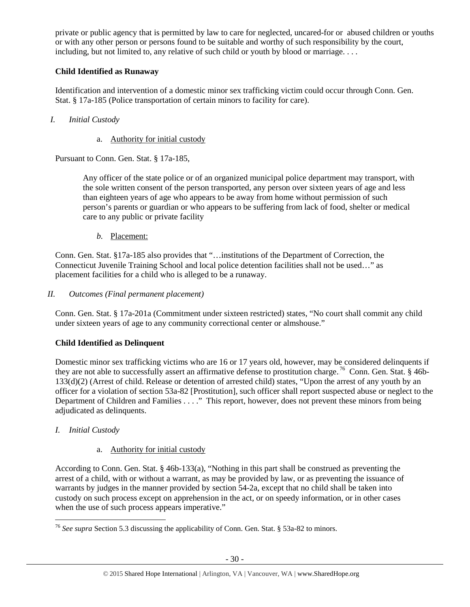private or public agency that is permitted by law to care for neglected, uncared-for or abused children or youths or with any other person or persons found to be suitable and worthy of such responsibility by the court, including, but not limited to, any relative of such child or youth by blood or marriage. . . .

# **Child Identified as Runaway**

Identification and intervention of a domestic minor sex trafficking victim could occur through Conn. Gen. Stat. § 17a-185 (Police transportation of certain minors to facility for care).

# *I. Initial Custody*

a. Authority for initial custody

Pursuant to Conn. Gen. Stat. § 17a-185,

Any officer of the state police or of an organized municipal police department may transport, with the sole written consent of the person transported, any person over sixteen years of age and less than eighteen years of age who appears to be away from home without permission of such person's parents or guardian or who appears to be suffering from lack of food, shelter or medical care to any public or private facility

*b.* Placement:

Conn. Gen. Stat. §17a-185 also provides that "…institutions of the Department of Correction, the Connecticut Juvenile Training School and local police detention facilities shall not be used…" as placement facilities for a child who is alleged to be a runaway.

*II. Outcomes (Final permanent placement)*

Conn. Gen. Stat. § 17a-201a (Commitment under sixteen restricted) states, "No court shall commit any child under sixteen years of age to any community correctional center or almshouse."

# **Child Identified as Delinquent**

Domestic minor sex trafficking victims who are 16 or 17 years old, however, may be considered delinquents if they are not able to successfully assert an affirmative defense to prostitution charge.<sup>76</sup> Conn. Gen. Stat. § 46b-133(d)(2) (Arrest of child. Release or detention of arrested child) states, "Upon the arrest of any youth by an officer for a violation of section 53a-82 [Prostitution], such officer shall report suspected abuse or neglect to the Department of Children and Families . . . ." This report, however, does not prevent these minors from being adjudicated as delinquents.

# *I. Initial Custody*

# a. Authority for initial custody

According to Conn. Gen. Stat. § 46b-133(a), "Nothing in this part shall be construed as preventing the arrest of a child, with or without a warrant, as may be provided by law, or as preventing the issuance of warrants by judges in the manner provided by section 54-2a, except that no child shall be taken into custody on such process except on apprehension in the act, or on speedy information, or in other cases when the use of such process appears imperative."

 <sup>76</sup> *See supra* Section 5.3 discussing the applicability of Conn. Gen. Stat. § 53a-82 to minors.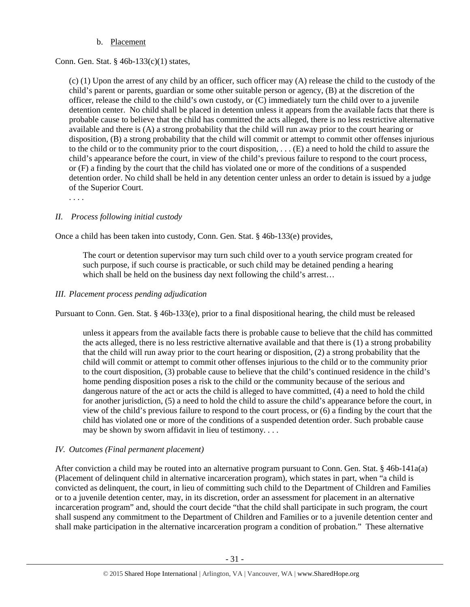## b. Placement

Conn. Gen. Stat. § 46b-133(c)(1) states,

(c) (1) Upon the arrest of any child by an officer, such officer may (A) release the child to the custody of the child's parent or parents, guardian or some other suitable person or agency, (B) at the discretion of the officer, release the child to the child's own custody, or (C) immediately turn the child over to a juvenile detention center. No child shall be placed in detention unless it appears from the available facts that there is probable cause to believe that the child has committed the acts alleged, there is no less restrictive alternative available and there is (A) a strong probability that the child will run away prior to the court hearing or disposition, (B) a strong probability that the child will commit or attempt to commit other offenses injurious to the child or to the community prior to the court disposition, . . . (E) a need to hold the child to assure the child's appearance before the court, in view of the child's previous failure to respond to the court process, or (F) a finding by the court that the child has violated one or more of the conditions of a suspended detention order. No child shall be held in any detention center unless an order to detain is issued by a judge of the Superior Court.

. . . .

## *II. Process following initial custody*

Once a child has been taken into custody, Conn. Gen. Stat. § 46b-133(e) provides,

The court or detention supervisor may turn such child over to a youth service program created for such purpose, if such course is practicable, or such child may be detained pending a hearing which shall be held on the business day next following the child's arrest...

## *III. Placement process pending adjudication*

Pursuant to Conn. Gen. Stat. § 46b-133(e), prior to a final dispositional hearing, the child must be released

unless it appears from the available facts there is probable cause to believe that the child has committed the acts alleged, there is no less restrictive alternative available and that there is (1) a strong probability that the child will run away prior to the court hearing or disposition, (2) a strong probability that the child will commit or attempt to commit other offenses injurious to the child or to the community prior to the court disposition, (3) probable cause to believe that the child's continued residence in the child's home pending disposition poses a risk to the child or the community because of the serious and dangerous nature of the act or acts the child is alleged to have committed, (4) a need to hold the child for another jurisdiction, (5) a need to hold the child to assure the child's appearance before the court, in view of the child's previous failure to respond to the court process, or (6) a finding by the court that the child has violated one or more of the conditions of a suspended detention order. Such probable cause may be shown by sworn affidavit in lieu of testimony. . . .

#### *IV. Outcomes (Final permanent placement)*

After conviction a child may be routed into an alternative program pursuant to Conn. Gen. Stat. § 46b-141a(a) (Placement of delinquent child in alternative incarceration program), which states in part, when "a child is convicted as delinquent, the court, in lieu of committing such child to the Department of Children and Families or to a juvenile detention center, may, in its discretion, order an assessment for placement in an alternative incarceration program" and, should the court decide "that the child shall participate in such program, the court shall suspend any commitment to the Department of Children and Families or to a juvenile detention center and shall make participation in the alternative incarceration program a condition of probation." These alternative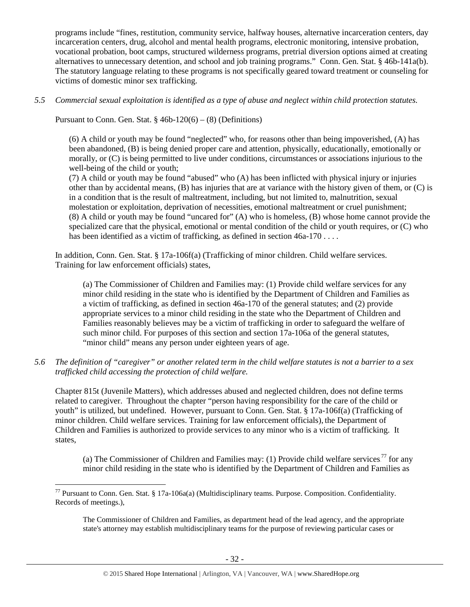programs include "fines, restitution, community service, halfway houses, alternative incarceration centers, day incarceration centers, drug, alcohol and mental health programs, electronic monitoring, intensive probation, vocational probation, boot camps, structured wilderness programs, pretrial diversion options aimed at creating alternatives to unnecessary detention, and school and job training programs." Conn. Gen. Stat. § 46b-141a(b). The statutory language relating to these programs is not specifically geared toward treatment or counseling for victims of domestic minor sex trafficking.

#### *5.5 Commercial sexual exploitation is identified as a type of abuse and neglect within child protection statutes.*

Pursuant to Conn. Gen. Stat.  $\frac{6}{5}$  46b-120(6) – (8) (Definitions)

(6) A child or youth may be found "neglected" who, for reasons other than being impoverished, (A) has been abandoned, (B) is being denied proper care and attention, physically, educationally, emotionally or morally, or (C) is being permitted to live under conditions, circumstances or associations injurious to the well-being of the child or youth;

(7) A child or youth may be found "abused" who (A) has been inflicted with physical injury or injuries other than by accidental means, (B) has injuries that are at variance with the history given of them, or (C) is in a condition that is the result of maltreatment, including, but not limited to, malnutrition, sexual molestation or exploitation, deprivation of necessities, emotional maltreatment or cruel punishment; (8) A child or youth may be found "uncared for" (A) who is homeless, (B) whose home cannot provide the specialized care that the physical, emotional or mental condition of the child or youth requires, or (C) who has been identified as a victim of trafficking, as defined in section 46a-170 . . . .

In addition, Conn. Gen. Stat. § 17a-106f(a) (Trafficking of minor children. Child welfare services. Training for law enforcement officials) states,

(a) The Commissioner of Children and Families may: (1) Provide child welfare services for any minor child residing in the state who is identified by the Department of Children and Families as a victim of trafficking, as defined in section 46a-170 of the general statutes; and (2) provide appropriate services to a minor child residing in the state who the Department of Children and Families reasonably believes may be a victim of trafficking in order to safeguard the welfare of such minor child. For purposes of this section and section 17a-106a of the general statutes, "minor child" means any person under eighteen years of age.

*5.6 The definition of "caregiver" or another related term in the child welfare statutes is not a barrier to a sex trafficked child accessing the protection of child welfare.*

Chapter 815t (Juvenile Matters), which addresses abused and neglected children, does not define terms related to caregiver. Throughout the chapter "person having responsibility for the care of the child or youth" is utilized, but undefined. However, pursuant to Conn. Gen. Stat. § 17a-106f(a) (Trafficking of minor children. Child welfare services. Training for law enforcement officials), the Department of Children and Families is authorized to provide services to any minor who is a victim of trafficking. It states,

(a) The Commissioner of Children and Families may: (1) Provide child welfare services.<sup>77</sup> for any minor child residing in the state who is identified by the Department of Children and Families as

 $^{77}$  Pursuant to Conn. Gen. Stat. § 17a-106a(a) (Multidisciplinary teams. Purpose. Composition. Confidentiality. Records of meetings.),

The Commissioner of Children and Families, as department head of the lead agency, and the appropriate state's attorney may establish multidisciplinary teams for the purpose of reviewing particular cases or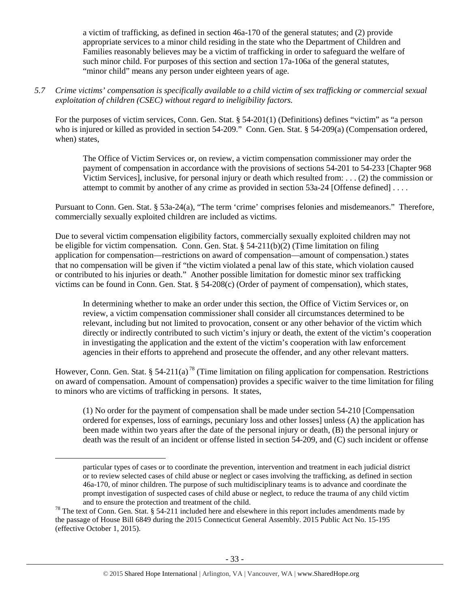a victim of trafficking, as defined in section 46a-170 of the general statutes; and (2) provide appropriate services to a minor child residing in the state who the Department of Children and Families reasonably believes may be a victim of trafficking in order to safeguard the welfare of such minor child. For purposes of this section and section 17a-106a of the general statutes, "minor child" means any person under eighteen years of age.

*5.7 Crime victims' compensation is specifically available to a child victim of sex trafficking or commercial sexual exploitation of children (CSEC) without regard to ineligibility factors.*

For the purposes of victim services, Conn. Gen. Stat. § 54-201(1) (Definitions) defines "victim" as "a person who is injured or killed as provided in section 54-209." Conn. Gen. Stat. § 54-209(a) (Compensation ordered, when) states,

The Office of Victim Services or, on review, a victim compensation commissioner may order the payment of compensation in accordance with the provisions of sections 54-201 to 54-233 [Chapter 968 Victim Services], inclusive, for personal injury or death which resulted from: . . . (2) the commission or attempt to commit by another of any crime as provided in section 53a-24 [Offense defined] . . . .

Pursuant to Conn. Gen. Stat. § 53a-24(a), "The term 'crime' comprises felonies and misdemeanors." Therefore, commercially sexually exploited children are included as victims.

Due to several victim compensation eligibility factors, commercially sexually exploited children may not be eligible for victim compensation. Conn. Gen. Stat. § 54-211(b)(2) (Time limitation on filing application for compensation—restrictions on award of compensation—amount of compensation.) states that no compensation will be given if "the victim violated a penal law of this state, which violation caused or contributed to his injuries or death." Another possible limitation for domestic minor sex trafficking victims can be found in Conn. Gen. Stat. § 54-208(c) (Order of payment of compensation), which states,

In determining whether to make an order under this section, the Office of Victim Services or, on review, a victim compensation commissioner shall consider all circumstances determined to be relevant, including but not limited to provocation, consent or any other behavior of the victim which directly or indirectly contributed to such victim's injury or death, the extent of the victim's cooperation in investigating the application and the extent of the victim's cooperation with law enforcement agencies in their efforts to apprehend and prosecute the offender, and any other relevant matters.

However, Conn. Gen. Stat. § 54-211(a).<sup>78</sup> (Time limitation on filing application for compensation. Restrictions on award of compensation. Amount of compensation) provides a specific waiver to the time limitation for filing to minors who are victims of trafficking in persons. It states,

(1) No order for the payment of compensation shall be made under section 54-210 [Compensation ordered for expenses, loss of earnings, pecuniary loss and other losses] unless (A) the application has been made within two years after the date of the personal injury or death, (B) the personal injury or death was the result of an incident or offense listed in section 54-209, and (C) such incident or offense

particular types of cases or to coordinate the prevention, intervention and treatment in each judicial district or to review selected cases of child abuse or neglect or cases involving the trafficking, as defined in section 46a-170, of minor children. The purpose of such multidisciplinary teams is to advance and coordinate the prompt investigation of suspected cases of child abuse or neglect, to reduce the trauma of any child victim

and to ensure the protection and treatment of the child.<br><sup>78</sup> The text of Conn. Gen. Stat. § 54-211 included here and elsewhere in this report includes amendments made by the passage of House Bill 6849 during the 2015 Connecticut General Assembly. 2015 Public Act No. 15-195 (effective October 1, 2015).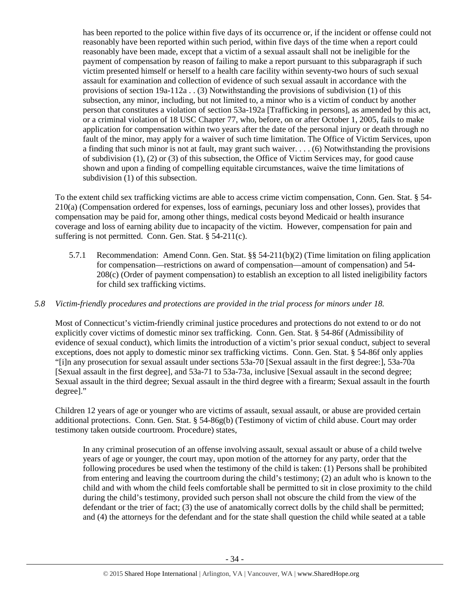has been reported to the police within five days of its occurrence or, if the incident or offense could not reasonably have been reported within such period, within five days of the time when a report could reasonably have been made, except that a victim of a sexual assault shall not be ineligible for the payment of compensation by reason of failing to make a report pursuant to this subparagraph if such victim presented himself or herself to a health care facility within seventy-two hours of such sexual assault for examination and collection of evidence of such sexual assault in accordance with the provisions of section  $19a-112a$ .  $(3)$  Notwithstanding the provisions of subdivision  $(1)$  of this subsection, any minor, including, but not limited to, a minor who is a victim of conduct by another person that constitutes a violation of section 53a-192a [Trafficking in persons], as amended by this act, or a criminal violation of 18 USC Chapter 77, who, before, on or after October 1, 2005, fails to make application for compensation within two years after the date of the personal injury or death through no fault of the minor, may apply for a waiver of such time limitation. The Office of Victim Services, upon a finding that such minor is not at fault, may grant such waiver. . . . (6) Notwithstanding the provisions of subdivision (1), (2) or (3) of this subsection, the Office of Victim Services may, for good cause shown and upon a finding of compelling equitable circumstances, waive the time limitations of subdivision (1) of this subsection.

To the extent child sex trafficking victims are able to access crime victim compensation, Conn. Gen. Stat. § 54- 210(a) (Compensation ordered for expenses, loss of earnings, pecuniary loss and other losses), provides that compensation may be paid for, among other things, medical costs beyond Medicaid or health insurance coverage and loss of earning ability due to incapacity of the victim. However, compensation for pain and suffering is not permitted. Conn. Gen. Stat. § 54-211(c).

5.7.1 Recommendation: Amend Conn. Gen. Stat. §§ 54-211(b)(2) (Time limitation on filing application for compensation—restrictions on award of compensation—amount of compensation) and 54- 208(c) (Order of payment compensation) to establish an exception to all listed ineligibility factors for child sex trafficking victims.

## *5.8 Victim-friendly procedures and protections are provided in the trial process for minors under 18.*

Most of Connecticut's victim-friendly criminal justice procedures and protections do not extend to or do not explicitly cover victims of domestic minor sex trafficking. Conn. Gen. Stat. § 54-86f (Admissibility of evidence of sexual conduct), which limits the introduction of a victim's prior sexual conduct, subject to several exceptions, does not apply to domestic minor sex trafficking victims. Conn. Gen. Stat. § 54-86f only applies "[i]n any prosecution for sexual assault under sections 53a-70 [Sexual assault in the first degree:], 53a-70a [Sexual assault in the first degree], and 53a-71 to 53a-73a, inclusive [Sexual assault in the second degree; Sexual assault in the third degree; Sexual assault in the third degree with a firearm; Sexual assault in the fourth degree]."

Children 12 years of age or younger who are victims of assault, sexual assault, or abuse are provided certain additional protections. Conn. Gen. Stat. § 54-86g(b) (Testimony of victim of child abuse. Court may order testimony taken outside courtroom. Procedure) states,

In any criminal prosecution of an offense involving assault, sexual assault or abuse of a child twelve years of age or younger, the court may, upon motion of the attorney for any party, order that the following procedures be used when the testimony of the child is taken: (1) Persons shall be prohibited from entering and leaving the courtroom during the child's testimony; (2) an adult who is known to the child and with whom the child feels comfortable shall be permitted to sit in close proximity to the child during the child's testimony, provided such person shall not obscure the child from the view of the defendant or the trier of fact; (3) the use of anatomically correct dolls by the child shall be permitted; and (4) the attorneys for the defendant and for the state shall question the child while seated at a table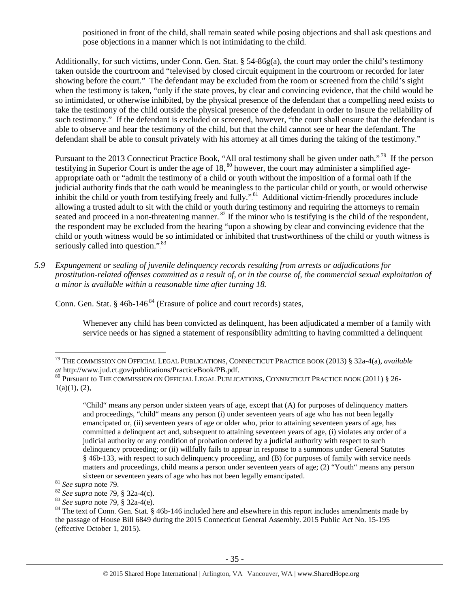<span id="page-34-1"></span><span id="page-34-0"></span>positioned in front of the child, shall remain seated while posing objections and shall ask questions and pose objections in a manner which is not intimidating to the child.

Additionally, for such victims, under Conn. Gen. Stat.  $\S$  54-86g(a), the court may order the child's testimony taken outside the courtroom and "televised by closed circuit equipment in the courtroom or recorded for later showing before the court." The defendant may be excluded from the room or screened from the child's sight when the testimony is taken, "only if the state proves, by clear and convincing evidence, that the child would be so intimidated, or otherwise inhibited, by the physical presence of the defendant that a compelling need exists to take the testimony of the child outside the physical presence of the defendant in order to insure the reliability of such testimony." If the defendant is excluded or screened, however, "the court shall ensure that the defendant is able to observe and hear the testimony of the child, but that the child cannot see or hear the defendant. The defendant shall be able to consult privately with his attorney at all times during the taking of the testimony."

Pursuant to the 2013 Connecticut Practice Book, "All oral testimony shall be given under oath."<sup>79</sup> If the person testifying in Superior Court is under the age of  $18<sup>80</sup>$  however, the court may administer a simplified ageappropriate oath or "admit the testimony of a child or youth without the imposition of a formal oath if the judicial authority finds that the oath would be meaningless to the particular child or youth, or would otherwise inhibit the child or youth from testifying freely and fully."<sup>81</sup> Additional victim-friendly procedures include allowing a trusted adult to sit with the child or youth during testimony and requiring the attorneys to remain seated and proceed in a non-threatening manner.<sup>82</sup> If the minor who is testifying is the child of the respondent, the respondent may be excluded from the hearing "upon a showing by clear and convincing evidence that the child or youth witness would be so intimidated or inhibited that trustworthiness of the child or youth witness is seriously called into question." $\frac{83}{5}$ 

*5.9 Expungement or sealing of juvenile delinquency records resulting from arrests or adjudications for prostitution-related offenses committed as a result of, or in the course of, the commercial sexual exploitation of a minor is available within a reasonable time after turning 18.*

Conn. Gen. Stat. § 46b-146 $^{84}$  (Erasure of police and court records) states,

Whenever any child has been convicted as delinquent, has been adjudicated a member of a family with service needs or has signed a statement of responsibility admitting to having committed a delinquent

 <sup>79</sup> THE COMMISSION ON OFFICIAL LEGAL PUBLICATIONS, CONNECTICUT PRACTICE BOOK (2013) § 32a-4(a), *available* 

<sup>&</sup>lt;sup>80</sup> Pursuant to THE COMMISSION ON OFFICIAL LEGAL PUBLICATIONS, CONNECTICUT PRACTICE BOOK (2011) § 26- $1(a)(1), (2),$ 

<sup>&</sup>quot;Child" means any person under sixteen years of age, except that (A) for purposes of delinquency matters and proceedings, "child" means any person (i) under seventeen years of age who has not been legally emancipated or, (ii) seventeen years of age or older who, prior to attaining seventeen years of age, has committed a delinquent act and, subsequent to attaining seventeen years of age, (i) violates any order of a judicial authority or any condition of probation ordered by a judicial authority with respect to such delinquency proceeding; or (ii) willfully fails to appear in response to a summons under General Statutes § 46b-133, with respect to such delinquency proceeding, and (B) for purposes of family with service needs matters and proceedings, child means a person under seventeen years of age; (2) "Youth" means any person

sixteen or seventeen years of age who has not been legally emancipated.<br><sup>81</sup> See supra note [79.](#page-34-0)<br><sup>82</sup> See supra note [79,](#page-34-1) § 32a-4(c).<br><sup>83</sup> See supra note 79, § 32a-4(e).<br><sup>84</sup> The text of Conn. Gen. Stat. § 46b-146 included h the passage of House Bill 6849 during the 2015 Connecticut General Assembly. 2015 Public Act No. 15-195 (effective October 1, 2015).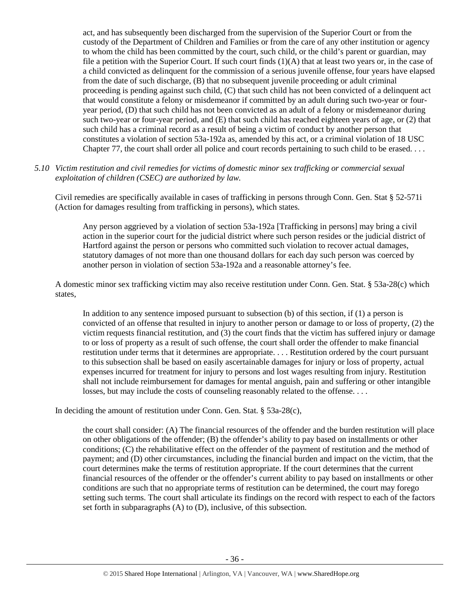act, and has subsequently been discharged from the supervision of the Superior Court or from the custody of the Department of Children and Families or from the care of any other institution or agency to whom the child has been committed by the court, such child, or the child's parent or guardian, may file a petition with the Superior Court. If such court finds (1)(A) that at least two years or, in the case of a child convicted as delinquent for the commission of a serious juvenile offense,four years have elapsed from the date of such discharge, (B) that no subsequent juvenile proceeding or adult criminal proceeding is pending against such child, (C) that such child has not been convicted of a delinquent act that would constitute a felony or misdemeanor if committed by an adult during such two-year or fouryear period, (D) that such child has not been convicted as an adult of a felony or misdemeanor during such two-year or four-year period, and (E) that such child has reached eighteen years of age, or (2) that such child has a criminal record as a result of being a victim of conduct by another person that constitutes a violation of section 53a-192a as, amended by this act, or a criminal violation of 18 USC Chapter 77, the court shall order all police and court records pertaining to such child to be erased. . . .

*5.10 Victim restitution and civil remedies for victims of domestic minor sex trafficking or commercial sexual exploitation of children (CSEC) are authorized by law.* 

Civil remedies are specifically available in cases of trafficking in persons through Conn. Gen. Stat § 52-571i (Action for damages resulting from trafficking in persons), which states.

Any person aggrieved by a violation of section 53a-192a [Trafficking in persons] may bring a civil action in the superior court for the judicial district where such person resides or the judicial district of Hartford against the person or persons who committed such violation to recover actual damages, statutory damages of not more than one thousand dollars for each day such person was coerced by another person in violation of section 53a-192a and a reasonable attorney's fee.

A domestic minor sex trafficking victim may also receive restitution under Conn. Gen. Stat. § 53a-28(c) which states,

In addition to any sentence imposed pursuant to subsection (b) of this section, if (1) a person is convicted of an offense that resulted in injury to another person or damage to or loss of property, (2) the victim requests financial restitution, and (3) the court finds that the victim has suffered injury or damage to or loss of property as a result of such offense, the court shall order the offender to make financial restitution under terms that it determines are appropriate. . . . Restitution ordered by the court pursuant to this subsection shall be based on easily ascertainable damages for injury or loss of property, actual expenses incurred for treatment for injury to persons and lost wages resulting from injury. Restitution shall not include reimbursement for damages for mental anguish, pain and suffering or other intangible losses, but may include the costs of counseling reasonably related to the offense. . . .

In deciding the amount of restitution under Conn. Gen. Stat. § 53a-28(c),

the court shall consider: (A) The financial resources of the offender and the burden restitution will place on other obligations of the offender; (B) the offender's ability to pay based on installments or other conditions; (C) the rehabilitative effect on the offender of the payment of restitution and the method of payment; and (D) other circumstances, including the financial burden and impact on the victim, that the court determines make the terms of restitution appropriate. If the court determines that the current financial resources of the offender or the offender's current ability to pay based on installments or other conditions are such that no appropriate terms of restitution can be determined, the court may forego setting such terms. The court shall articulate its findings on the record with respect to each of the factors set forth in subparagraphs (A) to (D), inclusive, of this subsection.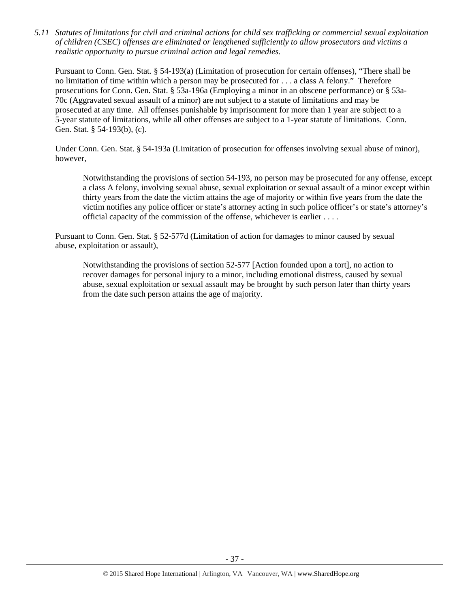*5.11 Statutes of limitations for civil and criminal actions for child sex trafficking or commercial sexual exploitation of children (CSEC) offenses are eliminated or lengthened sufficiently to allow prosecutors and victims a realistic opportunity to pursue criminal action and legal remedies.*

Pursuant to Conn. Gen. Stat. § 54-193(a) (Limitation of prosecution for certain offenses), "There shall be no limitation of time within which a person may be prosecuted for . . . a class A felony." Therefore prosecutions for Conn. Gen. Stat. § 53a-196a (Employing a minor in an obscene performance) or § 53a-70c (Aggravated sexual assault of a minor) are not subject to a statute of limitations and may be prosecuted at any time. All offenses punishable by imprisonment for more than 1 year are subject to a 5-year statute of limitations, while all other offenses are subject to a 1-year statute of limitations. Conn. Gen. Stat. § 54-193(b), (c).

Under Conn. Gen. Stat. § 54-193a (Limitation of prosecution for offenses involving sexual abuse of minor), however,

Notwithstanding the provisions of section 54-193, no person may be prosecuted for any offense, except a class A felony, involving sexual abuse, sexual exploitation or sexual assault of a minor except within thirty years from the date the victim attains the age of majority or within five years from the date the victim notifies any police officer or state's attorney acting in such police officer's or state's attorney's official capacity of the commission of the offense, whichever is earlier . . . .

Pursuant to Conn. Gen. Stat. § 52-577d (Limitation of action for damages to minor caused by sexual abuse, exploitation or assault),

Notwithstanding the provisions of section 52-577 [Action founded upon a tort], no action to recover damages for personal injury to a minor, including emotional distress, caused by sexual abuse, sexual exploitation or sexual assault may be brought by such person later than thirty years from the date such person attains the age of majority.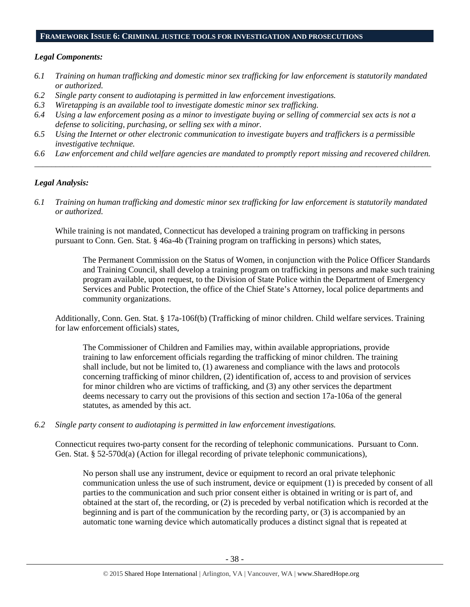#### **FRAMEWORK ISSUE 6: CRIMINAL JUSTICE TOOLS FOR INVESTIGATION AND PROSECUTIONS**

#### *Legal Components:*

- *6.1 Training on human trafficking and domestic minor sex trafficking for law enforcement is statutorily mandated or authorized.*
- *6.2 Single party consent to audiotaping is permitted in law enforcement investigations.*
- *6.3 Wiretapping is an available tool to investigate domestic minor sex trafficking.*
- *6.4 Using a law enforcement posing as a minor to investigate buying or selling of commercial sex acts is not a defense to soliciting, purchasing, or selling sex with a minor.*
- *6.5 Using the Internet or other electronic communication to investigate buyers and traffickers is a permissible investigative technique.*
- *6.6 Law enforcement and child welfare agencies are mandated to promptly report missing and recovered children. \_\_\_\_\_\_\_\_\_\_\_\_\_\_\_\_\_\_\_\_\_\_\_\_\_\_\_\_\_\_\_\_\_\_\_\_\_\_\_\_\_\_\_\_\_\_\_\_\_\_\_\_\_\_\_\_\_\_\_\_\_\_\_\_\_\_\_\_\_\_\_\_\_\_\_\_\_\_\_\_\_\_\_\_\_\_\_\_\_\_\_\_\_\_*

# *Legal Analysis:*

*6.1 Training on human trafficking and domestic minor sex trafficking for law enforcement is statutorily mandated or authorized.*

While training is not mandated, Connecticut has developed a training program on trafficking in persons pursuant to Conn. Gen. Stat. § 46a-4b (Training program on trafficking in persons) which states,

The Permanent Commission on the Status of Women, in conjunction with the Police Officer Standards and Training Council, shall develop a training program on trafficking in persons and make such training program available, upon request, to the Division of State Police within the Department of Emergency Services and Public Protection, the office of the Chief State's Attorney, local police departments and community organizations.

Additionally, Conn. Gen. Stat. § 17a-106f(b) (Trafficking of minor children. Child welfare services. Training for law enforcement officials) states,

The Commissioner of Children and Families may, within available appropriations, provide training to law enforcement officials regarding the trafficking of minor children. The training shall include, but not be limited to, (1) awareness and compliance with the laws and protocols concerning trafficking of minor children, (2) identification of, access to and provision of services for minor children who are victims of trafficking, and (3) any other services the department deems necessary to carry out the provisions of this section and section 17a-106a of the general statutes, as amended by this act.

*6.2 Single party consent to audiotaping is permitted in law enforcement investigations.*

Connecticut requires two-party consent for the recording of telephonic communications. Pursuant to Conn. Gen. Stat. § 52-570d(a) (Action for illegal recording of private telephonic communications),

No person shall use any instrument, device or equipment to record an oral private telephonic communication unless the use of such instrument, device or equipment (1) is preceded by consent of all parties to the communication and such prior consent either is obtained in writing or is part of, and obtained at the start of, the recording, or (2) is preceded by verbal notification which is recorded at the beginning and is part of the communication by the recording party, or (3) is accompanied by an automatic tone warning device which automatically produces a distinct signal that is repeated at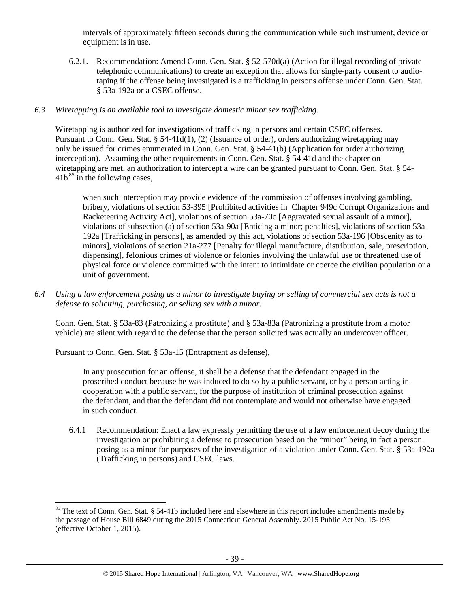intervals of approximately fifteen seconds during the communication while such instrument, device or equipment is in use.

6.2.1. Recommendation: Amend Conn. Gen. Stat. § 52-570d(a) (Action for illegal recording of private telephonic communications) to create an exception that allows for single-party consent to audiotaping if the offense being investigated is a trafficking in persons offense under Conn. Gen. Stat. § 53a-192a or a CSEC offense.

# *6.3 Wiretapping is an available tool to investigate domestic minor sex trafficking.*

Wiretapping is authorized for investigations of trafficking in persons and certain CSEC offenses. Pursuant to Conn. Gen. Stat. § 54-41d(1), (2) (Issuance of order), orders authorizing wiretapping may only be issued for crimes enumerated in Conn. Gen. Stat. § 54-41(b) (Application for order authorizing interception). Assuming the other requirements in Conn. Gen. Stat. § 54-41d and the chapter on wiretapping are met, an authorization to intercept a wire can be granted pursuant to Conn. Gen. Stat. § 54-  $41b^{85}$  in the following cases,

when such interception may provide evidence of the commission of offenses involving gambling, bribery, violations of section 53-395 [Prohibited activities in Chapter 949c Corrupt Organizations and Racketeering Activity Act], violations of section 53a-70c [Aggravated sexual assault of a minor], violations of subsection (a) of section 53a-90a [Enticing a minor; penalties], violations of section 53a-192a [Trafficking in persons], as amended by this act, violations of section 53a-196 [Obscenity as to minors], violations of section 21a-277 [Penalty for illegal manufacture, distribution, sale, prescription, dispensing], felonious crimes of violence or felonies involving the unlawful use or threatened use of physical force or violence committed with the intent to intimidate or coerce the civilian population or a unit of government.

*6.4 Using a law enforcement posing as a minor to investigate buying or selling of commercial sex acts is not a defense to soliciting, purchasing, or selling sex with a minor.*

Conn. Gen. Stat. § 53a-83 (Patronizing a prostitute) and § 53a-83a (Patronizing a prostitute from a motor vehicle) are silent with regard to the defense that the person solicited was actually an undercover officer.

Pursuant to Conn. Gen. Stat. § 53a-15 (Entrapment as defense),

In any prosecution for an offense, it shall be a defense that the defendant engaged in the proscribed conduct because he was induced to do so by a public servant, or by a person acting in cooperation with a public servant, for the purpose of institution of criminal prosecution against the defendant, and that the defendant did not contemplate and would not otherwise have engaged in such conduct.

6.4.1 Recommendation: Enact a law expressly permitting the use of a law enforcement decoy during the investigation or prohibiting a defense to prosecution based on the "minor" being in fact a person posing as a minor for purposes of the investigation of a violation under Conn. Gen. Stat. § 53a-192a (Trafficking in persons) and CSEC laws.

<sup>&</sup>lt;sup>85</sup> The text of Conn. Gen. Stat. § 54-41b included here and elsewhere in this report includes amendments made by the passage of House Bill 6849 during the 2015 Connecticut General Assembly. 2015 Public Act No. 15-195 (effective October 1, 2015).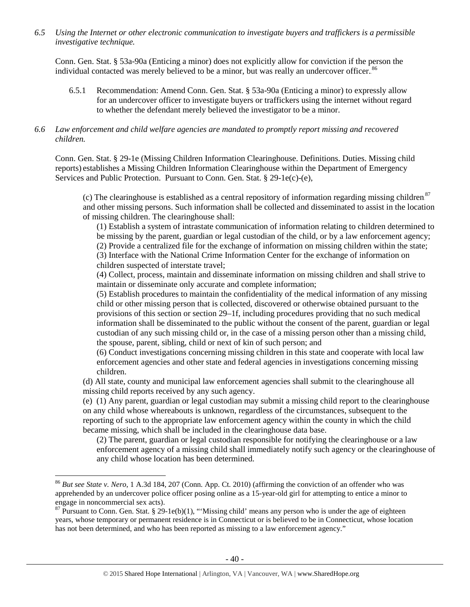*6.5 Using the Internet or other electronic communication to investigate buyers and traffickers is a permissible investigative technique.*

Conn. Gen. Stat. § 53a-90a (Enticing a minor) does not explicitly allow for conviction if the person the individual contacted was merely believed to be a minor, but was really an undercover officer.<sup>86</sup>

6.5.1 Recommendation: Amend Conn. Gen. Stat. § 53a-90a (Enticing a minor) to expressly allow for an undercover officer to investigate buyers or traffickers using the internet without regard to whether the defendant merely believed the investigator to be a minor.

#### *6.6 Law enforcement and child welfare agencies are mandated to promptly report missing and recovered children.*

Conn. Gen. Stat. § 29-1e (Missing Children Information Clearinghouse. Definitions. Duties. Missing child reports) establishes a Missing Children Information Clearinghouse within the Department of Emergency Services and Public Protection. Pursuant to Conn. Gen. Stat. § 29-1e(c)-(e),

(c) The clearinghouse is established as a central repository of information regarding missing children.<sup>87</sup> and other missing persons. Such information shall be collected and disseminated to assist in the location of missing children. The clearinghouse shall:

(1) Establish a system of intrastate communication of information relating to children determined to be missing by the parent, guardian or legal custodian of the child, or by a law enforcement agency; (2) Provide a centralized file for the exchange of information on missing children within the state; (3) Interface with the National Crime Information Center for the exchange of information on children suspected of interstate travel;

(4) Collect, process, maintain and disseminate information on missing children and shall strive to maintain or disseminate only accurate and complete information;

(5) Establish procedures to maintain the confidentiality of the medical information of any missing child or other missing person that is collected, discovered or otherwise obtained pursuant to the provisions of this section or section 29–1f, including procedures providing that no such medical information shall be disseminated to the public without the consent of the parent, guardian or legal custodian of any such missing child or, in the case of a missing person other than a missing child, the spouse, parent, sibling, child or next of kin of such person; and

(6) Conduct investigations concerning missing children in this state and cooperate with local law enforcement agencies and other state and federal agencies in investigations concerning missing children.

(d) All state, county and municipal law enforcement agencies shall submit to the clearinghouse all missing child reports received by any such agency.

(e) (1) Any parent, guardian or legal custodian may submit a missing child report to the clearinghouse on any child whose whereabouts is unknown, regardless of the circumstances, subsequent to the reporting of such to the appropriate law enforcement agency within the county in which the child became missing, which shall be included in the clearinghouse data base.

(2) The parent, guardian or legal custodian responsible for notifying the clearinghouse or a law enforcement agency of a missing child shall immediately notify such agency or the clearinghouse of any child whose location has been determined.

 <sup>86</sup> *But see State v. Nero*, 1 A.3d 184, 207 (Conn. App. Ct. 2010) (affirming the conviction of an offender who was apprehended by an undercover police officer posing online as a 15-year-old girl for attempting to entice a minor to engage in noncommercial sex acts).

 $87$  Pursuant to Conn. Gen. Stat. § 29-1e(b)(1), "Missing child' means any person who is under the age of eighteen years, whose temporary or permanent residence is in Connecticut or is believed to be in Connecticut, whose location has not been determined, and who has been reported as missing to a law enforcement agency."